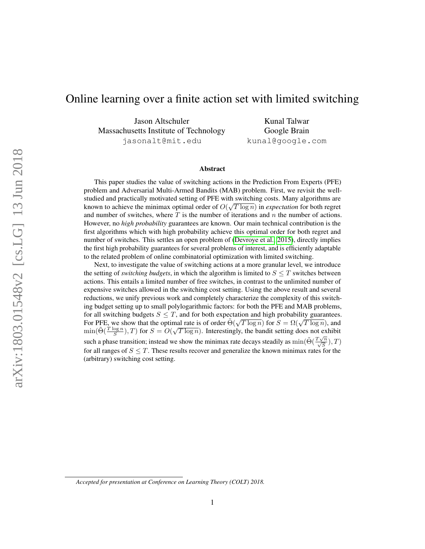# Online learning over a finite action set with limited switching

Jason Altschuler Massachusetts Institute of Technology jasonalt@mit.edu

Kunal Talwar Google Brain kunal@google.com

#### Abstract

This paper studies the value of switching actions in the Prediction From Experts (PFE) problem and Adversarial Multi-Armed Bandits (MAB) problem. First, we revisit the wellstudied and practically motivated setting of PFE with switching costs. Many algorithms are √ known to achieve the minimax optimal order of  $O(\sqrt{T \log n})$  in *expectation* for both regret and number of switches, where  $T$  is the number of iterations and  $n$  the number of actions. However, no *high probability* guarantees are known. Our main technical contribution is the first algorithms which with high probability achieve this optimal order for both regret and number of switches. This settles an open problem of [\(Devroye et al., 2015\)](#page-23-0), directly implies the first high probability guarantees for several problems of interest, and is efficiently adaptable to the related problem of online combinatorial optimization with limited switching.

Next, to investigate the value of switching actions at a more granular level, we introduce the setting of *switching budgets*, in which the algorithm is limited to  $S \leq T$  switches between actions. This entails a limited number of free switches, in contrast to the unlimited number of expensive switches allowed in the switching cost setting. Using the above result and several reductions, we unify previous work and completely characterize the complexity of this switching budget setting up to small polylogarithmic factors: for both the PFE and MAB problems, for all switching budgets  $S \leq T$ , and for both expectation and high probability guarantees. For PFE, we show that the optimal rate is of order  $\tilde{\Theta}(\sqrt{T \log n})$  for  $S = \Omega(\sqrt{T \log n})$ , and  $\tilde{\Theta}(\sqrt{T \log n})$  for  $S = \Omega(\sqrt{T \log n})$ , and  $\min(\tilde{\Theta}(\frac{T \log n}{S}), T)$  for  $S = O(\sqrt{T \log n})$ . Interestingly, the bandit setting does not exhibit such a phase transition; instead we show the minimax rate decays steadily as  $\min(\tilde{\Theta}(\frac{T\sqrt{n}}{\sqrt{S}}), T)$ for all ranges of  $S \leq T$ . These results recover and generalize the known minimax rates for the (arbitrary) switching cost setting.

*Accepted for presentation at Conference on Learning Theory (COLT) 2018.*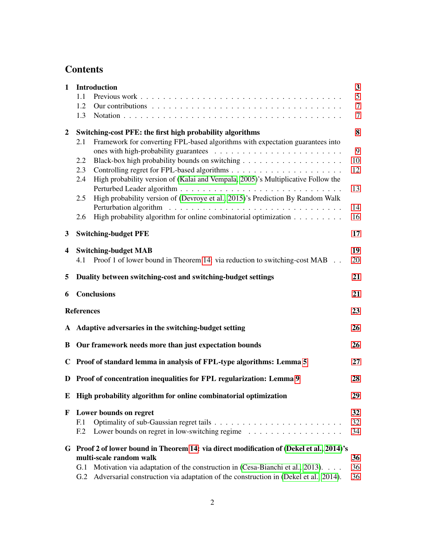# **Contents**

| $\mathbf{1}$            | Introduction                                              | 3                                                                                         |                |  |
|-------------------------|-----------------------------------------------------------|-------------------------------------------------------------------------------------------|----------------|--|
|                         | 1.1                                                       |                                                                                           | 5              |  |
|                         | 1.2                                                       |                                                                                           | $\tau$         |  |
|                         | 1.3                                                       |                                                                                           | $\overline{7}$ |  |
| $\overline{2}$          | Switching-cost PFE: the first high probability algorithms |                                                                                           |                |  |
|                         | 2.1                                                       | Framework for converting FPL-based algorithms with expectation guarantees into            |                |  |
|                         | 2.2                                                       |                                                                                           | 9<br>10        |  |
|                         | 2.3                                                       |                                                                                           | 12             |  |
|                         | 2.4                                                       | High probability version of (Kalai and Vempala, 2005)'s Multiplicative Follow the         |                |  |
|                         |                                                           |                                                                                           | 13             |  |
|                         | 2.5                                                       | High probability version of (Devroye et al., 2015)'s Prediction By Random Walk            |                |  |
|                         |                                                           |                                                                                           | 14             |  |
|                         | 2.6                                                       | High probability algorithm for online combinatorial optimization                          | 16             |  |
| 3                       |                                                           | <b>Switching-budget PFE</b>                                                               | 17             |  |
| $\overline{\mathbf{4}}$ |                                                           | <b>Switching-budget MAB</b>                                                               | 19             |  |
|                         | 4.1                                                       | Proof 1 of lower bound in Theorem 14: via reduction to switching-cost MAB                 | 20             |  |
| 5                       |                                                           | Duality between switching-cost and switching-budget settings<br>21                        |                |  |
| 6                       |                                                           | <b>Conclusions</b>                                                                        | 21             |  |
|                         | <b>References</b>                                         |                                                                                           | 23             |  |
|                         |                                                           | A Adaptive adversaries in the switching-budget setting                                    | 26             |  |
| B                       | Our framework needs more than just expectation bounds     |                                                                                           |                |  |
| $\mathbf C$             |                                                           | Proof of standard lemma in analysis of FPL-type algorithms: Lemma 5                       | 27             |  |
| D                       |                                                           | Proof of concentration inequalities for FPL regularization: Lemma 9                       | 28             |  |
| E                       |                                                           | High probability algorithm for online combinatorial optimization                          | 29             |  |
| F                       |                                                           | Lower bounds on regret                                                                    | 32             |  |
|                         | F <sub>1</sub>                                            |                                                                                           | 32             |  |
|                         | F <sub>12</sub>                                           | Lower bounds on regret in low-switching regime $\ldots \ldots \ldots \ldots \ldots$       | 34             |  |
|                         |                                                           | G Proof 2 of lower bound in Theorem 14: via direct modification of (Dekel et al., 2014)'s |                |  |
|                         |                                                           | multi-scale random walk                                                                   | 36             |  |
|                         | G.1                                                       | Motivation via adaptation of the construction in (Cesa-Bianchi et al., 2013).             | 36             |  |
|                         | G.2                                                       | Adversarial construction via adaptation of the construction in (Dekel et al., 2014).      | 36             |  |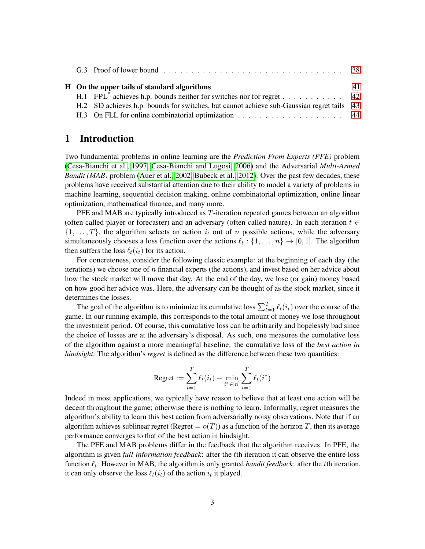| H On the upper tails of standard algorithms |  | 41                                                                                           |  |
|---------------------------------------------|--|----------------------------------------------------------------------------------------------|--|
|                                             |  | H.1 FPL <sup>*</sup> achieves h.p. bounds neither for switches nor for regret 42             |  |
|                                             |  | H.2 SD achieves h.p. bounds for switches, but cannot achieve sub-Gaussian regret tails 43    |  |
|                                             |  | H.3 On FLL for online combinatorial optimization $\dots \dots \dots \dots \dots \dots \dots$ |  |

# <span id="page-2-0"></span>1 Introduction

Two fundamental problems in online learning are the *Prediction From Experts (PFE)* problem [\(Cesa-Bianchi et al., 1997,](#page-22-2) [Cesa-Bianchi and Lugosi, 2006\)](#page-22-3) and the Adversarial *Multi-Armed Bandit (MAB)* problem [\(Auer et al., 2002,](#page-22-4) [Bubeck et al., 2012\)](#page-22-5). Over the past few decades, these problems have received substantial attention due to their ability to model a variety of problems in machine learning, sequential decision making, online combinatorial optimization, online linear optimization, mathematical finance, and many more.

PFE and MAB are typically introduced as T-iteration repeated games between an algorithm (often called player or forecaster) and an adversary (often called nature). In each iteration  $t \in$  $\{1, \ldots, T\}$ , the algorithm selects an action  $i_t$  out of n possible actions, while the adversary simultaneously chooses a loss function over the actions  $\ell_t : \{1, \ldots, n\} \to [0, 1]$ . The algorithm then suffers the loss  $\ell_t(i_t)$  for its action.

For concreteness, consider the following classic example: at the beginning of each day (the iterations) we choose one of n financial experts (the actions), and invest based on her advice about how the stock market will move that day. At the end of the day, we lose (or gain) money based on how good her advice was. Here, the adversary can be thought of as the stock market, since it determines the losses.

The goal of the algorithm is to minimize its cumulative loss  $\sum_{t=1}^{T} \ell_t(i_t)$  over the course of the game. In our running example, this corresponds to the total amount of money we lose throughout the investment period. Of course, this cumulative loss can be arbitrarily and hopelessly bad since the choice of losses are at the adversary's disposal. As such, one measures the cumulative loss of the algorithm against a more meaningful baseline: the cumulative loss of the *best action in hindsight*. The algorithm's *regret* is defined as the difference between these two quantities:

Regret := 
$$
\sum_{t=1}^{T} \ell_t(i_t) - \min_{i^* \in [n]} \sum_{t=1}^{T} \ell_t(i^*)
$$

Indeed in most applications, we typically have reason to believe that at least one action will be decent throughout the game; otherwise there is nothing to learn. Informally, regret measures the algorithm's ability to learn this best action from adversarially noisy observations. Note that if an algorithm achieves sublinear regret (Regret  $= o(T)$ ) as a function of the horizon T, then its average performance converges to that of the best action in hindsight.

The PFE and MAB problems differ in the feedback that the algorithm receives. In PFE, the algorithm is given *full-information feedback*: after the tth iteration it can observe the entire loss function  $\ell_t$ . However in MAB, the algorithm is only granted *bandit feedback*: after the tth iteration, it can only observe the loss  $\ell_t(i_t)$  of the action  $i_t$  it played.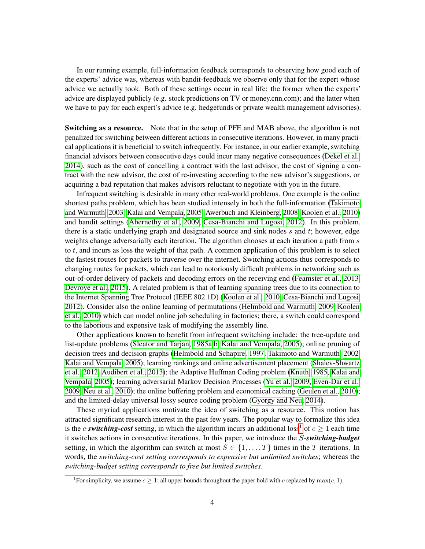In our running example, full-information feedback corresponds to observing how good each of the experts' advice was, whereas with bandit-feedback we observe only that for the expert whose advice we actually took. Both of these settings occur in real life: the former when the experts' advice are displayed publicly (e.g. stock predictions on TV or money.cnn.com); and the latter when we have to pay for each expert's advice (e.g. hedgefunds or private wealth management advisories).

**Switching as a resource.** Note that in the setup of PFE and MAB above, the algorithm is not penalized for switching between different actions in consecutive iterations. However, in many practical applications it is beneficial to switch infrequently. For instance, in our earlier example, switching financial advisors between consecutive days could incur many negative consequences [\(Dekel et al.,](#page-22-0) [2014\)](#page-22-0), such as the cost of cancelling a contract with the last advisor, the cost of signing a contract with the new advisor, the cost of re-investing according to the new advisor's suggestions, or acquiring a bad reputation that makes advisors reluctant to negotiate with you in the future.

Infrequent switching is desirable in many other real-world problems. One example is the online shortest paths problem, which has been studied intensely in both the full-information [\(Takimoto](#page-24-0) [and Warmuth, 2003,](#page-24-0) [Kalai and Vempala, 2005,](#page-23-1) [Awerbuch and Kleinberg, 2008,](#page-22-6) [Koolen et al., 2010\)](#page-23-2) and bandit settings [\(Abernethy et al., 2009,](#page-22-7) [Cesa-Bianchi and Lugosi, 2012\)](#page-22-8). In this problem, there is a static underlying graph and designated source and sink nodes  $s$  and  $t$ ; however, edge weights change adversarially each iteration. The algorithm chooses at each iteration a path from s to  $t$ , and incurs as loss the weight of that path. A common application of this problem is to select the fastest routes for packets to traverse over the internet. Switching actions thus corresponds to changing routes for packets, which can lead to notoriously difficult problems in networking such as out-of-order delivery of packets and decoding errors on the receiving end [\(Feamster et al., 2013,](#page-23-3) [Devroye et al., 2015\)](#page-23-0). A related problem is that of learning spanning trees due to its connection to the Internet Spanning Tree Protocol (IEEE 802.1D) [\(Koolen et al., 2010,](#page-23-2) [Cesa-Bianchi and Lugosi,](#page-22-8) [2012\)](#page-22-8). Consider also the online learning of permutations [\(Helmbold and Warmuth, 2009,](#page-23-4) [Koolen](#page-23-2) [et al., 2010\)](#page-23-2) which can model online job scheduling in factories; there, a switch could correspond to the laborious and expensive task of modifying the assembly line.

Other applications known to benefit from infrequent switching include: the tree-update and list-update problems [\(Sleator and Tarjan, 1985a](#page-23-5)[,b,](#page-24-1) [Kalai and Vempala, 2005\)](#page-23-1); online pruning of decision trees and decision graphs [\(Helmbold and Schapire, 1997,](#page-23-6) [Takimoto and Warmuth, 2002,](#page-24-2) [Kalai and Vempala, 2005\)](#page-23-1); learning rankings and online advertisement placement [\(Shalev-Shwartz](#page-23-7) [et al., 2012,](#page-23-7) [Audibert et al., 2013\)](#page-22-9); the Adaptive Huffman Coding problem [\(Knuth, 1985,](#page-23-8) [Kalai and](#page-23-1) [Vempala, 2005\)](#page-23-1); learning adversarial Markov Decision Processes [\(Yu et al., 2009,](#page-24-3) [Even-Dar et al.,](#page-23-9) [2009,](#page-23-9) [Neu et al., 2010\)](#page-23-10); the online buffering problem and economical caching [\(Geulen et al., 2010\)](#page-23-11); and the limited-delay universal lossy source coding problem [\(Gyorgy and Neu, 2014\)](#page-23-12).

These myriad applications motivate the idea of switching as a resource. This notion has attracted significant research interest in the past few years. The popular way to formalize this idea is the *c*-switching-cost setting, in which the algorithm incurs an additional loss<sup>[1](#page-3-0)</sup> of  $c \geq 1$  each time it switches actions in consecutive iterations. In this paper, we introduce the S-*switching-budget* setting, in which the algorithm can switch at most  $S \in \{1, \ldots, T\}$  times in the T iterations. In words, the *switching-cost setting corresponds to expensive but unlimited switches*; whereas the *switching-budget setting corresponds to free but limited switches*.

<span id="page-3-0"></span><sup>&</sup>lt;sup>1</sup>For simplicity, we assume  $c \geq 1$ ; all upper bounds throughout the paper hold with c replaced by  $\max(c, 1)$ .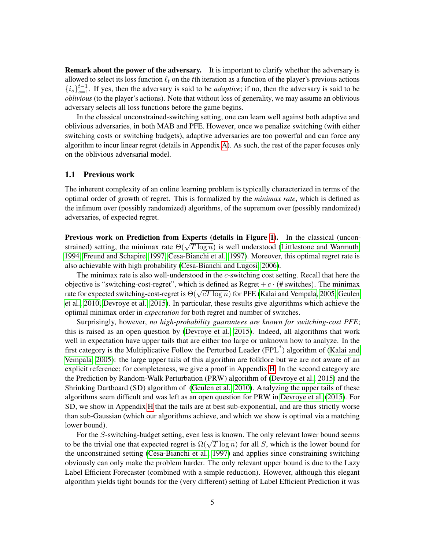**Remark about the power of the adversary.** It is important to clarify whether the adversary is allowed to select its loss function  $\ell_t$  on the tth iteration as a function of the player's previous actions  ${i_s}_{s=1}^{t-1}$ . If yes, then the adversary is said to be *adaptive*; if no, then the adversary is said to be *oblivious* (to the player's actions). Note that without loss of generality, we may assume an oblivious adversary selects all loss functions before the game begins.

In the classical unconstrained-switching setting, one can learn well against both adaptive and oblivious adversaries, in both MAB and PFE. However, once we penalize switching (with either switching costs or switching budgets), adaptive adversaries are too powerful and can force any algorithm to incur linear regret (details in Appendix [A\)](#page-25-0). As such, the rest of the paper focuses only on the oblivious adversarial model.

### <span id="page-4-0"></span>1.1 Previous work

The inherent complexity of an online learning problem is typically characterized in terms of the optimal order of growth of regret. This is formalized by the *minimax rate*, which is defined as the infimum over (possibly randomized) algorithms, of the supremum over (possibly randomized) adversaries, of expected regret.

Previous work on Prediction from Experts (details in Figure [1\)](#page-5-0). In the classical (uncon-**EXECUTE: STRAIN IN THE MOVE OF THE MINIMARY SETTING** STRAIN (THE UPS STRAIN INCONSTRAINED SETTING) setting, the minimax rate  $\Theta(\sqrt{T \log n})$  is well understood [\(Littlestone and Warmuth,](#page-23-13) [1994,](#page-23-13) [Freund and Schapire, 1997,](#page-23-14) [Cesa-Bianchi et al., 1997\)](#page-22-2). Moreover, this optimal regret rate is also achievable with high probability [\(Cesa-Bianchi and Lugosi, 2006\)](#page-22-3).

The minimax rate is also well-understood in the c-switching cost setting. Recall that here the objective is "switching-cost-regret", which is defined as Regret  $+c \cdot (H)$  switches). The minimax bojective is switching-cost-regret, which is defined as Regret +  $c \cdot$  (+ switches). The imminax rate for expected switching-cost-regret is  $\Theta(\sqrt{cT \log n})$  for PFE [\(Kalai and Vempala, 2005,](#page-23-1) [Geulen](#page-23-11) [et al., 2010,](#page-23-11) [Devroye et al., 2015\)](#page-23-0). In particular, these results give algorithms which achieve the optimal minimax order in *expectation* for both regret and number of switches.

Surprisingly, however, *no high-probability guarantees are known for switching-cost PFE*; this is raised as an open question by [\(Devroye et al., 2015\)](#page-23-0). Indeed, all algorithms that work well in expectation have upper tails that are either too large or unknown how to analyze. In the first category is the Multiplicative Follow the Perturbed Leader (FPL<sup>\*</sup>) algorithm of [\(Kalai and](#page-23-1) [Vempala, 2005\)](#page-23-1): the large upper tails of this algorithm are folklore but we are not aware of an explicit reference; for completeness, we give a proof in Appendix [H.](#page-40-0) In the second category are the Prediction by Random-Walk Perturbation (PRW) algorithm of [\(Devroye et al., 2015\)](#page-23-0) and the Shrinking Dartboard (SD) algorithm of [\(Geulen et al., 2010\)](#page-23-11). Analyzing the upper tails of these algorithms seem difficult and was left as an open question for PRW in [Devroye et al.](#page-23-0) [\(2015\)](#page-23-0). For SD, we show in Appendix [H](#page-40-0) that the tails are at best sub-exponential, and are thus strictly worse than sub-Gaussian (which our algorithms achieve, and which we show is optimal via a matching lower bound).

For the S-switching-budget setting, even less is known. The only relevant lower bound seems For the S-switching-budget setting, even less is known. The only relevant lower bound seems<br>to be the trivial one that expected regret is  $\Omega(\sqrt{T \log n})$  for all S, which is the lower bound for the unconstrained setting [\(Cesa-Bianchi et al., 1997\)](#page-22-2) and applies since constraining switching obviously can only make the problem harder. The only relevant upper bound is due to the Lazy Label Efficient Forecaster (combined with a simple reduction). However, although this elegant algorithm yields tight bounds for the (very different) setting of Label Efficient Prediction it was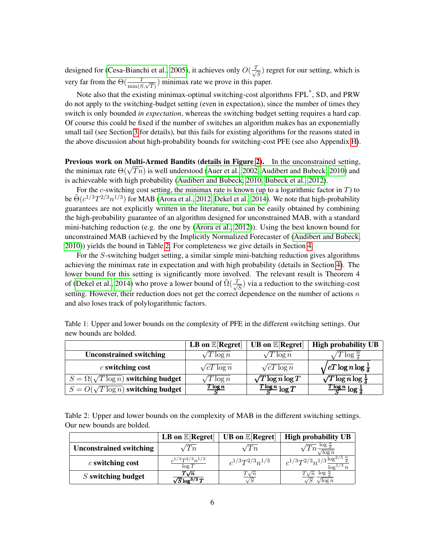designed for [\(Cesa-Bianchi et al., 2005\)](#page-22-10), it achieves only  $O(\frac{T}{\sqrt{2}})$  $\frac{1}{\sqrt{S}}$ ) regret for our setting, which is very far from the  $\Theta(\frac{T}{\min(S,\sqrt{T})})$  minimax rate we prove in this paper.

Note also that the existing minimax-optimal switching-cost algorithms FPL<sup>\*</sup>, SD, and PRW do not apply to the switching-budget setting (even in expectation), since the number of times they switch is only bounded *in expectation*, whereas the switching budget setting requires a hard cap. Of course this could be fixed if the number of switches an algorithm makes has an exponentially small tail (see Section [3](#page-16-0) for details), but this fails for existing algorithms for the reasons stated in the above discussion about high-probability bounds for switching-cost PFE (see also Appendix [H\)](#page-40-0).

Previous work on Multi-Armed Bandits (details in Figure [2\)](#page-5-1). In the unconstrained setting, **EXECUTE:** Frevious Work on Multi-Armed Bandits (details in Figure 2). In the unconstrained setting, the minimax rate  $\Theta(\sqrt{Tn})$  is well understood [\(Auer et al., 2002,](#page-22-4) [Audibert and Bubeck, 2010\)](#page-22-11) and is achieveable with high probability [\(Audibert and Bubeck, 2010,](#page-22-11) [Bubeck et al., 2012\)](#page-22-5).

For the c-switching cost setting, the minimax rate is known (up to a logarithmic factor in  $T$ ) to be  $\tilde{\Theta}(c^{1/3}T^{2/3}n^{1/3})$  for MAB [\(Arora et al., 2012,](#page-22-12) [Dekel et al., 2014\)](#page-22-0). We note that high-probability guarantees are not explicitly written in the literature, but can be easily obtained by combining the high-probability guarantee of an algorithm designed for unconstrained MAB, with a standard mini-batching reduction (e.g. the one by [\(Arora et al., 2012\)](#page-22-12)). Using the best known bound for unconstrained MAB (achieved by the Implicitly Normalized Forecaster of [\(Audibert and Bubeck,](#page-22-11) [2010\)](#page-22-11)) yields the bound in Table [2.](#page-5-1) For completeness we give details in Section [4.](#page-18-0)

For the S-switching budget setting, a similar simple mini-batching reduction gives algorithms achieving the minimax rate in expectation and with high probability (details in Section [4\)](#page-18-0). The lower bound for this setting is significantly more involved. The relevant result is Theorem 4 of [\(Dekel et al., 2014\)](#page-22-0) who prove a lower bound of  $\tilde{\Omega}(\frac{T}{\sqrt{2}})$  $\frac{1}{\sqrt{S}}$ ) via a reduction to the switching-cost setting. However, their reduction does not get the correct dependence on the number of actions  $n$ and also loses track of polylogarithmic factors.

|                                                | LB on $\mathbb{E}[\text{Regret}]$ | <b>UB</b> on $\mathbb{E}[\text{Regret}]$ | <b>High probability UB</b>                  |
|------------------------------------------------|-----------------------------------|------------------------------------------|---------------------------------------------|
| <b>Unconstrained switching</b>                 | $T \log n$                        | $\Gamma \log n$                          | $\log \frac{n}{\delta}$                     |
| $c$ switching cost                             | $\sqrt{cT \log n}$                | $\sqrt{cT \log n}$                       | $\sqrt{cT \log n \log \frac{1}{\delta}}$    |
| $S = \Omega(\sqrt{T \log n})$ switching budget | $T \log n$                        | $\sqrt{T \log n} \log T$                 | $\sqrt{T\log n}\log\frac{1}{\delta}$        |
| $S = O(\sqrt{T \log n})$ switching budget      | $T \log n$                        | $\frac{T \log n}{S} \log T$              | $\frac{T \log n}{S} \log \frac{1}{\lambda}$ |

<span id="page-5-0"></span>Table 1: Upper and lower bounds on the complexity of PFE in the different switching settings. Our new bounds are bolded.

<span id="page-5-1"></span>Table 2: Upper and lower bounds on the complexity of MAB in the different switching settings. Our new bounds are bolded.

|                                | LB on $\mathbb{E}[\text{Regret}]$    | <b>UB</b> on $E[Regret]$ | <b>High probability UB</b>                                         |
|--------------------------------|--------------------------------------|--------------------------|--------------------------------------------------------------------|
| <b>Unconstrained switching</b> | Tn                                   | ''I`n                    | $\overline{Tn} \frac{\log \frac{n}{\delta}}{4}$<br>$\sqrt{\log n}$ |
| $c$ switching cost             | $c^{1/3}T^{2/3}n^{1/3}$<br>$\log T$  | $c^{1/3}T^{2/3}n^{1/3}$  | $c^{1/3}T^{2/3}n^{1/3}\frac{\log^{2/3}\frac{n}{\delta}}{1}$        |
| $S$ switching budget           | $T\sqrt{n}$<br>$\sqrt{S}\log^{3/2}T$ | $T\sqrt{n}$              | $T\sqrt{n}$ log.<br>$\log n$                                       |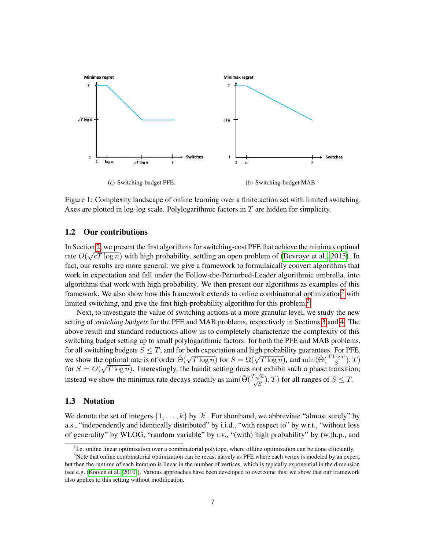<span id="page-6-5"></span>

<span id="page-6-6"></span><span id="page-6-4"></span>Figure 1: Complexity landscape of online learning over a finite action set with limited switching. Axes are plotted in log-log scale. Polylogarithmic factors in  $T$  are hidden for simplicity.

### <span id="page-6-0"></span>1.2 Our contributions

In Section [2,](#page-7-0) we present the first algorithms for switching-cost PFE that achieve the minimax optimal  $\frac{1}{2}$ rate  $O(\sqrt{cT \log n})$  with high probability, settling an open problem of [\(Devroye et al., 2015\)](#page-23-0). In fact, our results are more general: we give a framework to formulaically convert algorithms that work in expectation and fall under the Follow-the-Perturbed-Leader algorithmic umbrella, into algorithms that work with high probability. We then present our algorithms as examples of this framework. We also show how this framework extends to online combinatorial optimization<sup>[2](#page-6-2)</sup> with limited switching, and give the first high-probability algorithm for this problem.<sup>[3](#page-6-3)</sup>

Next, to investigate the value of switching actions at a more granular level, we study the new setting of *switching budgets* for the PFE and MAB problems, respectively in Sections [3](#page-16-0) and [4.](#page-18-0) The above result and standard reductions allow us to completely characterize the complexity of this switching budget setting up to small polylogarithmic factors: for both the PFE and MAB problems, for all switching budgets  $S \leq T$ , and for both expectation and high probability guarantees. For PFE, For an switching budgets  $S \leq T$ , and for both expectation and light probability guarantees. For FFE,<br>we show the optimal rate is of order  $\tilde{\Theta}(\sqrt{T \log n})$  for  $S = \Omega(\sqrt{T \log n})$ , and  $\min(\tilde{\Theta}(\frac{T \log n}{S}), T)$ for  $S = O(\sqrt{T \log n})$ . Interestingly, the bandit setting does not exhibit such a phase transition; instead we show the minimax rate decays steadily as  $\min(\tilde{\Theta}(\frac{T\sqrt{n}}{\sqrt{S}}), T)$  for all ranges of  $S \leq T$ .

### <span id="page-6-1"></span>1.3 Notation

We denote the set of integers  $\{1, \ldots, k\}$  by  $[k]$ . For shorthand, we abbreviate "almost surely" by a.s., "independently and identically distributed" by i.i.d., "with respect to" by w.r.t., "without loss of generality" by WLOG, "random variable" by r.v., "(with) high probability" by (w.)h.p., and

<span id="page-6-3"></span><span id="page-6-2"></span><sup>&</sup>lt;sup>2</sup> I.e. online linear optimization over a combinatorial polytope, where offline optimization can be done efficiently.

 $3$ Note that online combinatorial optimization can be recast naïvely as PFE where each vertex is modeled by an expert, but then the runtime of each iteration is linear in the number of vertices, which is typically exponential in the dimension (see e.g. [\(Koolen et al., 2010\)](#page-23-2)). Various approaches have been developed to overcome this; we show that our framework also applies to this setting without modification.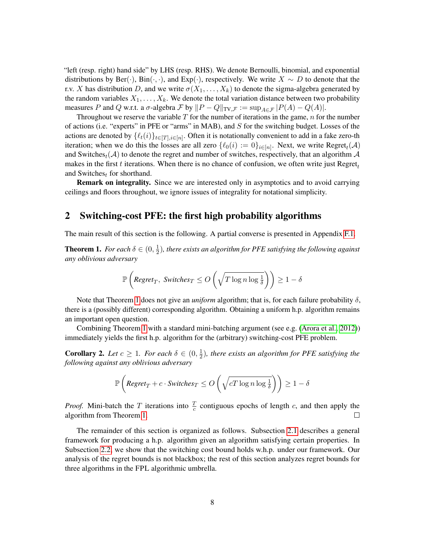"left (resp. right) hand side" by LHS (resp. RHS). We denote Bernoulli, binomial, and exponential distributions by Ber( $\cdot$ ), Bin( $\cdot$ , $\cdot$ ), and Exp( $\cdot$ ), respectively. We write  $X \sim D$  to denote that the r.v. X has distribution D, and we write  $\sigma(X_1, \ldots, X_k)$  to denote the sigma-algebra generated by the random variables  $X_1, \ldots, X_k$ . We denote the total variation distance between two probability measures P and Q w.r.t. a  $\sigma$ -algebra F by  $||P - Q||_{TV,\mathcal{F}} := \sup_{A \in \mathcal{F}} |P(A) - Q(A)|$ .

Throughout we reserve the variable  $T$  for the number of iterations in the game,  $n$  for the number of actions (i.e. "experts" in PFE or "arms" in MAB), and  $S$  for the switching budget. Losses of the actions are denoted by  $\{\ell_t(i)\}_{t\in[T],i\in[n]}$ . Often it is notationally convenient to add in a fake zero-th iteration; when we do this the losses are all zero  $\{\ell_0(i) := 0\}_{i \in [n]}$ . Next, we write  $\text{Regret}_t(\mathcal{A})$ and Switches<sub>t</sub>( $\mathcal{A}$ ) to denote the regret and number of switches, respectively, that an algorithm  $\mathcal{A}$ makes in the first t iterations. When there is no chance of confusion, we often write just  $Regret_t$ and Switches<sub>t</sub> for shorthand.

Remark on integrality. Since we are interested only in asymptotics and to avoid carrying ceilings and floors throughout, we ignore issues of integrality for notational simplicity.

# <span id="page-7-0"></span>2 Switching-cost PFE: the first high probability algorithms

The main result of this section is the following. A partial converse is presented in Appendix [F.1.](#page-31-1)

<span id="page-7-1"></span>**Theorem 1.** For each  $\delta \in (0, \frac{1}{2})$  $\frac{1}{2}$ ), there exists an algorithm for PFE satisfying the following against *any oblivious adversary*

$$
\mathbb{P}\left(\text{Regret}_T, \text{ Switches}_T \le O\left(\sqrt{T\log n \log \frac{1}{\delta}}\right)\right) \ge 1 - \delta
$$

Note that Theorem [1](#page-7-1) does not give an *uniform* algorithm; that is, for each failure probability  $\delta$ , there is a (possibly different) corresponding algorithm. Obtaining a uniform h.p. algorithm remains an important open question.

Combining Theorem [1](#page-7-1) with a standard mini-batching argument (see e.g. [\(Arora et al., 2012\)](#page-22-12)) immediately yields the first h.p. algorithm for the (arbitrary) switching-cost PFE problem.

**Corollary 2.** Let  $c \geq 1$ . For each  $\delta \in (0, \frac{1}{2})$  $\frac{1}{2}$ ), there exists an algorithm for PFE satisfying the *following against any oblivious adversary*

$$
\mathbb{P}\left(\text{Regret}_T + c \cdot \text{Switches}_T \le O\left(\sqrt{cT\log n \log \frac{1}{\delta}}\right)\right) \ge 1 - \delta
$$

*Proof.* Mini-batch the T iterations into  $\frac{T}{c}$  contiguous epochs of length c, and then apply the algorithm from Theorem [1.](#page-7-1)  $\Box$ 

The remainder of this section is organized as follows. Subsection [2.1](#page-8-0) describes a general framework for producing a h.p. algorithm given an algorithm satisfying certain properties. In Subsection [2.2,](#page-9-0) we show that the switching cost bound holds w.h.p. under our framework. Our analysis of the regret bounds is not blackbox; the rest of this section analyzes regret bounds for three algorithms in the FPL algorithmic umbrella.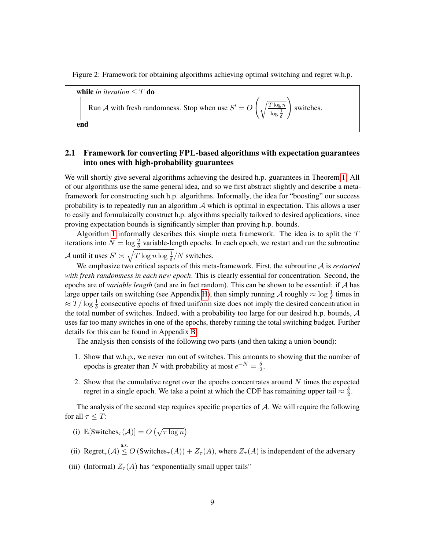Figure 2: Framework for obtaining algorithms achieving optimal switching and regret w.h.p.

<span id="page-8-1"></span>

# <span id="page-8-0"></span>2.1 Framework for converting FPL-based algorithms with expectation guarantees into ones with high-probability guarantees

We will shortly give several algorithms achieving the desired h.p. guarantees in Theorem [1.](#page-7-1) All of our algorithms use the same general idea, and so we first abstract slightly and describe a metaframework for constructing such h.p. algorithms. Informally, the idea for "boosting" our success probability is to repeatedly run an algorithm  $A$  which is optimal in expectation. This allows a user to easily and formulaically construct h.p. algorithms specially tailored to desired applications, since proving expectation bounds is significantly simpler than proving h.p. bounds.

Algorithm [1](#page-8-1) informally describes this simple meta framework. The idea is to split the  $T$ iterations into  $N = \log \frac{2}{\delta}$  variable-length epochs. In each epoch, we restart and run the subroutine A until it uses  $S' \asymp \sqrt{T \log n \log \frac{1}{\delta}}/N$  switches.

We emphasize two critical aspects of this meta-framework. First, the subroutine A is *restarted with fresh randomness in each new epoch*. This is clearly essential for concentration. Second, the epochs are of *variable length* (and are in fact random). This can be shown to be essential: if A has large upper tails on switching (see Appendix [H\)](#page-40-0), then simply running A roughly  $\approx \log \frac{1}{\delta}$  times in  $\approx T/\log \frac{1}{\delta}$  consecutive epochs of fixed uniform size does not imply the desired concentration in the total number of switches. Indeed, with a probability too large for our desired h.p. bounds,  $A$ uses far too many switches in one of the epochs, thereby ruining the total switching budget. Further details for this can be found in Appendix [B.](#page-25-1)

The analysis then consists of the following two parts (and then taking a union bound):

- 1. Show that w.h.p., we never run out of switches. This amounts to showing that the number of epochs is greater than N with probability at most  $e^{-N} = \frac{\delta}{2}$  $\frac{\delta}{2}$ .
- 2. Show that the cumulative regret over the epochs concentrates around  $N$  times the expected regret in a single epoch. We take a point at which the CDF has remaining upper tail  $\approx \frac{\delta}{2}$  $\frac{\delta}{2}$ .

The analysis of the second step requires specific properties of  $A$ . We will require the following for all  $\tau \leq T$ :

- (i)  $\mathbb{E}[\text{Switches}_{\tau}(\mathcal{A})] = O(\sqrt{\tau \log n})$
- (ii)  $\text{Regret}_{\tau}(\mathcal{A}) \leq O(\text{Switches}_{\tau}(\mathcal{A})) + Z_{\tau}(\mathcal{A})$ , where  $Z_{\tau}(\mathcal{A})$  is independent of the adversary
- (iii) (Informal)  $Z_{\tau}(A)$  has "exponentially small upper tails"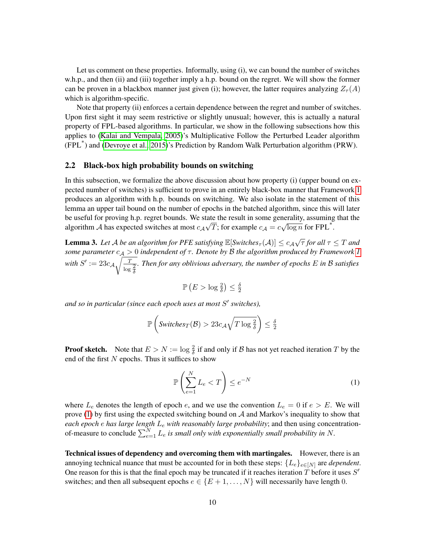Let us comment on these properties. Informally, using (i), we can bound the number of switches w.h.p., and then (ii) and (iii) together imply a h.p. bound on the regret. We will show the former can be proven in a blackbox manner just given (i); however, the latter requires analyzing  $Z_{\tau}(A)$ which is algorithm-specific.

Note that property (ii) enforces a certain dependence between the regret and number of switches. Upon first sight it may seem restrictive or slightly unusual; however, this is actually a natural property of FPL-based algorithms. In particular, we show in the following subsections how this applies to [\(Kalai and Vempala, 2005\)](#page-23-1)'s Multiplicative Follow the Perturbed Leader algorithm (FPL\* ) and [\(Devroye et al., 2015\)](#page-23-0)'s Prediction by Random Walk Perturbation algorithm (PRW).

### <span id="page-9-0"></span>2.2 Black-box high probability bounds on switching

In this subsection, we formalize the above discussion about how property (i) (upper bound on expected number of switches) is sufficient to prove in an entirely black-box manner that Framework [1](#page-8-1) produces an algorithm with h.p. bounds on switching. We also isolate in the statement of this lemma an upper tail bound on the number of epochs in the batched algorithm, since this will later be useful for proving h.p. regret bounds. We state the result in some generality, assuming that the algorithm A has expected switches at most  $c_A \sqrt{T}$ ; for example  $c_A = c \sqrt{\log n}$  for FPL<sup>\*</sup>.

<span id="page-9-2"></span>**Lemma 3.** Let A be an algorithm for PFE satisfying  $\mathbb{E}[Switches_{\tau}(\mathcal{A})] \leq c_{\mathcal{A}}\sqrt{\tau}$  for all  $\tau \leq T$  and *some parameter*  $c_A > 0$  *independent of*  $\tau$ *. Denote by*  $\beta$  *the algorithm produced by Framework* [1](#page-8-1) with  $S' := 23c_{\mathcal{A}_A} \sqrt{\frac{T}{T}}$  $\log \frac{2}{\delta}$ *. Then for any oblivious adversary, the number of epochs* E *in* B *satisfies*

$$
\mathbb{P}\left(E > \log \frac{2}{\delta}\right) \le \frac{\delta}{2}
$$

and so in particular (since each epoch uses at most S' switches),

$$
\mathbb{P}\left(\text{Switches}_{T}(\mathcal{B}) > 23c_{\mathcal{A}}\sqrt{T\log\frac{2}{\delta}}\right) \leq \frac{\delta}{2}
$$

**Proof sketch.** Note that  $E > N := \log \frac{2}{\delta}$  if and only if B has not yet reached iteration T by the end of the first  $N$  epochs. Thus it suffices to show

<span id="page-9-1"></span>
$$
\mathbb{P}\left(\sum_{e=1}^{N} L_e < T\right) \le e^{-N} \tag{1}
$$

where  $L_e$  denotes the length of epoch e, and we use the convention  $L_e = 0$  if  $e > E$ . We will prove [\(1\)](#page-9-1) by first using the expected switching bound on  $A$  and Markov's inequality to show that *each epoch* e *has large length* L<sup>e</sup> *with reasonably large probability*; and then using concentrationof-measure to conclude  $\sum_{e=1}^{N} L_e$  is small only with exponentially small probability in N.

Technical issues of dependency and overcoming them with martingales. However, there is an annoying technical nuance that must be accounted for in both these steps:  ${L_e}_{e \in [N]}$  are *dependent*. One reason for this is that the final epoch may be truncated if it reaches iteration  $\hat{T}$  before it uses  $S'$ switches; and then all subsequent epochs  $e \in \{E+1, \ldots, N\}$  will necessarily have length 0.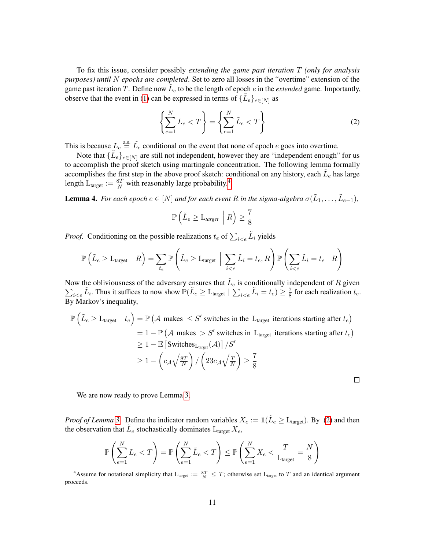To fix this issue, consider possibly *extending the game past iteration* T *(only for analysis purposes) until* N *epochs are completed*. Set to zero all losses in the "overtime" extension of the game past iteration T. Define now  $\tilde{L}_e$  to be the length of epoch e in the *extended* game. Importantly, observe that the event in [\(1\)](#page-9-1) can be expressed in terms of  $\{\tilde{L}_e\}_{e \in [N]}$  as

<span id="page-10-1"></span>
$$
\left\{\sum_{e=1}^{N} L_e < T\right\} = \left\{\sum_{e=1}^{N} \tilde{L}_e < T\right\} \tag{2}
$$

This is because  $L_e \stackrel{\text{a.s.}}{=} \tilde{L}_e$  conditional on the event that none of epoch e goes into overtime.

Note that  $\{\tilde{L}_e\}_{e \in [N]}$  are still not independent, however they are "independent enough" for us to accomplish the proof sketch using martingale concentration. The following lemma formally accomplishes the first step in the above proof sketch: conditional on any history, each  $\tilde{L}_e$  has large length  $L_{\text{target}} := \frac{8T}{N}$  with reasonably large probability.<sup>[4](#page-10-0)</sup>

<span id="page-10-2"></span>**Lemma 4.** For each epoch  $e \in [N]$  and for each event R in the sigma-algebra  $\sigma(\tilde{L}_1, \ldots, \tilde{L}_{e-1})$ ,

$$
\mathbb{P}\left(\tilde{L}_e \geq \mathcal{L}_{target} \mid R\right) \geq \frac{7}{8}
$$

*Proof.* Conditioning on the possible realizations  $t_e$  of  $\sum_{i \leq e} \tilde{L}_i$  yields

$$
\mathbb{P}\left(\tilde{L}_{e} \geq L_{\text{target}} \mid R\right) = \sum_{t_e} \mathbb{P}\left(\tilde{L}_{e} \geq L_{\text{target}} \mid \sum_{i < e} \tilde{L}_i = t_e, R\right) \mathbb{P}\left(\sum_{i < e} \tilde{L}_i = t_e \mid R\right)
$$

Now the obliviousness of the adversary ensures that  $\tilde{L}_e$  is conditionally independent of R given Now the obliviousness of the adversary ensures that  $L_e$  is conditionally independent of R given  $\sum_{i \leq e} \tilde{L}_i$ . Thus it suffices to now show  $\mathbb{P}(\tilde{L}_e \geq L_{\text{target}} | \sum_{i \leq e} \tilde{L}_i = t_e) \geq \frac{7}{8}$  for each realizati  $\frac{7}{8}$  for each realization  $t_e$ . By Markov's inequality,

$$
\mathbb{P}\left(\tilde{L}_{e} \geq L_{\text{target}} \mid t_{e}\right) = \mathbb{P}\left(\mathcal{A} \text{ makes } \leq S' \text{ switches in the } L_{\text{target}} \text{ iterations starting after } t_{e}\right)
$$
\n
$$
= 1 - \mathbb{P}\left(\mathcal{A} \text{ makes } > S' \text{ switches in } L_{\text{target}} \text{ iterations starting after } t_{e}\right)
$$
\n
$$
\geq 1 - \mathbb{E}\left[\text{Switches}_{L_{\text{target}}}(\mathcal{A})\right] / S'
$$
\n
$$
\geq 1 - \left(c_{\mathcal{A}}\sqrt{\frac{8T}{N}}\right) / \left(23c_{\mathcal{A}}\sqrt{\frac{T}{N}}\right) \geq \frac{7}{8}
$$

We are now ready to prove Lemma [3.](#page-9-2)

*Proof of Lemma* [3.](#page-9-2) Define the indicator random variables  $X_e := \mathbf{1}(\tilde{L}_e \geq L_{\text{target}})$ . By [\(2\)](#page-10-1) and then the observation that  $\tilde{L}_e$  stochastically dominates  $L_{\text{target}} X_e$ ,

$$
\mathbb{P}\left(\sum_{e=1}^{N} L_e < T\right) = \mathbb{P}\left(\sum_{e=1}^{N} \tilde{L}_e < T\right) \le \mathbb{P}\left(\sum_{e=1}^{N} X_e < \frac{T}{L_{\text{target}}} = \frac{N}{8}\right)
$$

<span id="page-10-0"></span><sup>&</sup>lt;sup>4</sup>Assume for notational simplicity that  $L_{\text{target}} := \frac{8T}{N} \leq T$ ; otherwise set  $L_{\text{target}}$  to T and an identical argument proceeds.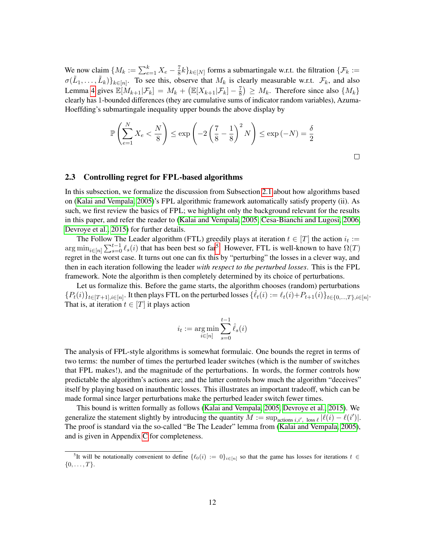We now claim  $\{M_k := \sum_{e=1}^k X_e - \frac{7}{8}\}$  $\frac{1}{8}k\}_{k\in[N]}$  forms a submartingale w.r.t. the filtration  $\{\mathcal{F}_k\}$  $\sigma(\tilde{L}_1,\ldots,\tilde{L}_k)\}_{k\in[n]}$ . To see this, observe that  $M_k$  is clearly measurable w.r.t.  $\mathcal{F}_k$ , and also Lemma [4](#page-10-2) gives  $\mathbb{E}[M_{k+1}|\mathcal{F}_k] = M_k + \left(\mathbb{E}[X_{k+1}|\mathcal{F}_k] - \frac{7}{8}\right)$  $\left(\frac{7}{8}\right) \geq M_k$ . Therefore since also  $\{M_k\}$ clearly has 1-bounded differences (they are cumulative sums of indicator random variables), Azuma-Hoeffding's submartingale inequality upper bounds the above display by

$$
\mathbb{P}\left(\sum_{e=1}^{N} X_e < \frac{N}{8}\right) \le \exp\left(-2\left(\frac{7}{8} - \frac{1}{8}\right)^2 N\right) \le \exp\left(-N\right) = \frac{\delta}{2}
$$

#### $\Box$

### <span id="page-11-0"></span>2.3 Controlling regret for FPL-based algorithms

In this subsection, we formalize the discussion from Subsection [2.1](#page-8-0) about how algorithms based on [\(Kalai and Vempala, 2005\)](#page-23-1)'s FPL algorithmic framework automatically satisfy property (ii). As such, we first review the basics of FPL; we highlight only the background relevant for the results in this paper, and refer the reader to [\(Kalai and Vempala, 2005,](#page-23-1) [Cesa-Bianchi and Lugosi, 2006,](#page-22-3) [Devroye et al., 2015\)](#page-23-0) for further details.

The Follow The Leader algorithm (FTL) greedily plays at iteration  $t \in [T]$  the action  $i_t :=$  $\arg \min_{i \in [n]} \sum_{s=0}^{t-1} \ell_s(i)$  that has been best so far<sup>[5](#page-11-1)</sup>. However, FTL is well-known to have  $\Omega(T)$ regret in the worst case. It turns out one can fix this by "perturbing" the losses in a clever way, and then in each iteration following the leader *with respect to the perturbed losses*. This is the FPL framework. Note the algorithm is then completely determined by its choice of perturbations.

Let us formalize this. Before the game starts, the algorithm chooses (random) perturbations  ${P_t(i)}_{t\in[T+1],i\in[n]}$ . It then plays FTL on the perturbed losses  ${\{\hat{\ell}_t(i) := \ell_t(i) + P_{t+1}(i)\}_{t\in\{0,\ldots,T\},i\in[n]}}$ . That is, at iteration  $t \in [T]$  it plays action

$$
i_t := \argmin_{i \in [n]} \sum_{s=0}^{t-1} \hat{\ell}_s(i)
$$

The analysis of FPL-style algorithms is somewhat formulaic. One bounds the regret in terms of two terms: the number of times the perturbed leader switches (which is the number of switches that FPL makes!), and the magnitude of the perturbations. In words, the former controls how predictable the algorithm's actions are; and the latter controls how much the algorithm "deceives" itself by playing based on inauthentic losses. This illustrates an important tradeoff, which can be made formal since larger perturbations make the perturbed leader switch fewer times.

This bound is written formally as follows [\(Kalai and Vempala, 2005,](#page-23-1) [Devroye et al., 2015\)](#page-23-0). We generalize the statement slightly by introducing the quantity  $M := \sup_{\text{actions } i, i', \text{ loss } \ell} |\ell(i) - \ell(i')|$ . The proof is standard via the so-called "Be The Leader" lemma from [\(Kalai and Vempala, 2005\)](#page-23-1), and is given in Appendix [C](#page-26-0) for completeness.

<span id="page-11-1"></span><sup>&</sup>lt;sup>5</sup>It will be notationally convenient to define  $\{\ell_0(i) := 0\}_{i \in [n]}$  so that the game has losses for iterations  $t \in$  $\{0, \ldots, T\}.$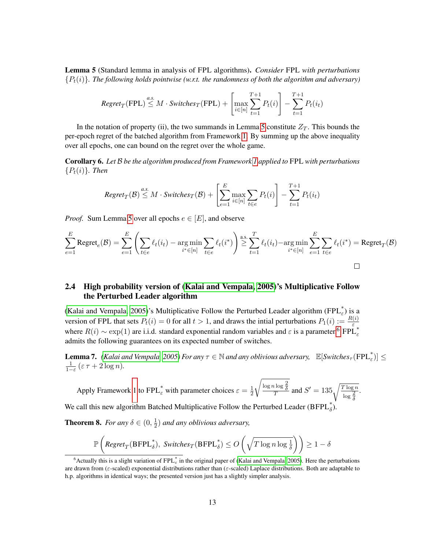<span id="page-12-1"></span>Lemma 5 (Standard lemma in analysis of FPL algorithms). *Consider* FPL *with perturbations*  ${P_t(i)}$ *. The following holds pointwise (w.r.t. the randomness of both the algorithm and adversary)* 

$$
Regret_T(\text{FPL}) \stackrel{a.s.}{\leq} M \cdot \text{Switches}_T(\text{FPL}) + \left[ \max_{i \in [n]} \sum_{t=1}^{T+1} P_t(i) \right] - \sum_{t=1}^{T+1} P_t(i_t)
$$

In the notation of property (ii), the two summands in Lemma [5](#page-12-1) constitute  $Z_T$ . This bounds the per-epoch regret of the batched algorithm from Framework [1.](#page-8-1) By summing up the above inequality over all epochs, one can bound on the regret over the whole game.

<span id="page-12-5"></span>Corollary 6. *Let* B *be the algorithm produced from Framework [1](#page-8-1) applied to* FPL *with perturbations*  ${P_t(i)}$ *. Then* 

$$
Regret_T(\mathcal{B}) \stackrel{a.s.}{\leq} M \cdot Switches_T(\mathcal{B}) + \left[\sum_{e=1}^{E} \max_{i \in [n]} \sum_{t \in e} P_t(i)\right] - \sum_{t=1}^{T+1} P_t(i_t)
$$

*Proof.* Sum Lemma [5](#page-12-1) over all epochs  $e \in [E]$ , and observe

$$
\sum_{e=1}^{E} \text{Regret}_e(\mathcal{B}) = \sum_{e=1}^{E} \left( \sum_{t \in e} \ell_t(i_t) - \underset{i^* \in [n]}{\text{arg min}} \sum_{t \in e} \ell_t(i^*) \right) \stackrel{\text{a.s.}}{\geq} \sum_{t=1}^{T} \ell_t(i_t) - \underset{i^* \in [n]}{\text{arg min}} \sum_{e=1}^{E} \sum_{t \in e} \ell_t(i^*) = \text{Regret}_T(\mathcal{B})
$$

# <span id="page-12-0"></span>2.4 High probability version of [\(Kalai and Vempala, 2005\)](#page-23-1)'s Multiplicative Follow the Perturbed Leader algorithm

[\(Kalai and Vempala, 2005\)](#page-23-1)'s Multiplicative Follow the Perturbed Leader algorithm (FPL $_{\varepsilon}^*$ ) is a version of FPL that sets  $P_t(i) = 0$  for all  $t > 1$ , and draws the intial perturbations  $P_1(i) := \frac{R(i)}{\varepsilon}$ <br>where  $R(i) \sim \exp(1)$  are i.i.d. standard exponential random variables and  $\varepsilon$  is a parameter.<sup>[6](#page-12-2)</sup> FPL<sub> $\varepsilon$ </sub> admits the following guarantees on its expected number of switches.

<span id="page-12-4"></span>**Lemma 7.** *[\(Kalai and Vempala, 2005\)](#page-23-1) For any*  $\tau \in \mathbb{N}$  *and any oblivious adversary,*  $\mathbb{E}[Switches_{\tau}(FPL_{\varepsilon}^{*})] \le$  $\frac{1}{1-\varepsilon}$  ( $\varepsilon \tau + 2 \log n$ ).

Apply Framework [1](#page-8-1) to  $FPL^*_{\varepsilon}$  with parameter choices  $\varepsilon = \frac{1}{2}$ 2  $\sqrt{\frac{\log n \log \frac{2}{\delta}}{T}}$  and  $S' = 135 \sqrt{\frac{T \log n}{\log \frac{2}{\delta}}}$ .

We call this new algorithm Batched Multiplicative Follow the Perturbed Leader (BFP $L_{\delta}^{*}$ ).

<span id="page-12-3"></span>**Theorem 8.** *For any*  $\delta \in (0, \frac{1}{2})$  $\frac{1}{2}$ ) and any oblivious adversary,

$$
\mathbb{P}\left(\textit{Regret}_{T}(\textsf{BFPL}^*_{\delta}), \textit{Switches}_{T}(\textsf{BFPL}^*_{\delta}) \leq O\left(\sqrt{T\log n\log\frac{1}{\delta}}\right)\right) \geq 1-\delta
$$

<span id="page-12-2"></span><sup>&</sup>lt;sup>6</sup> Actually this is a slight variation of FPL  $^*_{\varepsilon}$  in the original paper of [\(Kalai and Vempala, 2005\)](#page-23-1). Here the perturbations are drawn from (ε-scaled) exponential distributions rather than (ε-scaled) Laplace distributions. Both are adaptable to h.p. algorithms in identical ways; the presented version just has a slightly simpler analysis.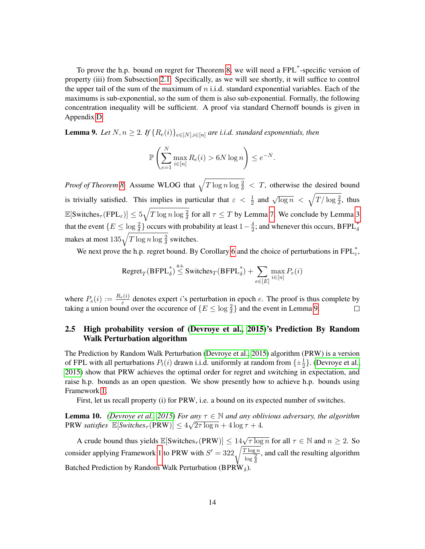To prove the h.p. bound on regret for Theorem [8,](#page-12-3) we will need a FPL\* -specific version of property (iii) from Subsection [2.1.](#page-8-0) Specifically, as we will see shortly, it will suffice to control the upper tail of the sum of the maximum of  $n$  i.i.d. standard exponential variables. Each of the maximums is sub-exponential, so the sum of them is also sub-exponential. Formally, the following concentration inequality will be sufficient. A proof via standard Chernoff bounds is given in Appendix [D.](#page-27-0)

<span id="page-13-1"></span>**Lemma 9.** *Let*  $N, n \geq 2$ . If  $\{R_e(i)\}_{e \in [N], i \in [n]}$  *are i.i.d. standard exponentials, then* 

$$
\mathbb{P}\left(\sum_{e=1}^N \max_{i\in[n]} R_e(i) > 6N \log n\right) \le e^{-N}.
$$

*Proof of Theorem [8.](#page-12-3)* Assume WLOG that  $\sqrt{T \log n \log \frac{2}{\delta}} < T$ , otherwise the desired bound is trivially satisfied. This implies in particular that  $\varepsilon < \frac{1}{2}$  and  $\sqrt{\log n} < \sqrt{\frac{T/\log \frac{2}{\delta}}$ , thus  $\mathbb{E}[\text{Switches}_{\tau}(\text{FPL}_{\varepsilon})] \leq 5\sqrt{T\log n\log\frac{2}{\delta}}$  for all  $\tau \leq T$  by Lemma [7.](#page-12-4) We conclude by Lemma [3](#page-9-2) that the event  $\{E \leq \log \frac{2}{\delta}\}\)$  occurs with probability at least  $1-\frac{\delta}{2}$  $\frac{\delta}{2}$ ; and whenever this occurs, BFPL $_{\delta}^*$ makes at most  $135\sqrt{T\log n\log\frac{2}{\delta}}$  switches.

We next prove the h.p. regret bound. By Corollary [6](#page-12-5) and the choice of perturbations in  $FPL_{\varepsilon}^*$ ,

$$
\text{Regret}_T(\text{BFPL}_{\delta}^*) \overset{\text{a.s.}}{\leq} \text{Switches}_T(\text{BFPL}_{\delta}^*) + \sum_{e \in [E]} \max_{i \in [n]} P_e(i)
$$

where  $P_e(i) := \frac{R_e(i)}{\varepsilon}$  denotes expert *i*'s perturbation in epoch *e*. The proof is thus complete by taking a union bound over the occurence of  $\{E \leq \log \frac{2}{\delta}\}\$  and the event in Lemma [9.](#page-13-1)

# <span id="page-13-0"></span>2.5 High probability version of [\(Devroye et al., 2015\)](#page-23-0)'s Prediction By Random Walk Perturbation algorithm

The Prediction by Random Walk Perturbation [\(Devroye et al., 2015\)](#page-23-0) algorithm (PRW) is a version of FPL with all perturbations  $P_t(i)$  drawn i.i.d. uniformly at random from  $\{\pm \frac{1}{2}$  $\frac{1}{2}$ . [\(Devroye et al.,](#page-23-0) [2015\)](#page-23-0) show that PRW achieves the optimal order for regret and switching in expectation, and raise h.p. bounds as an open question. We show presently how to achieve h.p. bounds using Framework [1.](#page-8-1)

First, let us recall property (i) for PRW, i.e. a bound on its expected number of switches.

**Lemma 10.** *[\(Devroye et al., 2015\)](#page-23-0) For any*  $\tau \in \mathbb{N}$  *and any oblivious adversary, the algorithm* PRW *satisfies*  $\mathbb{E}[Switches_{\tau}(PRW)] \leq 4\sqrt{2\tau \log n} + 4\log \tau + 4$ .

A crude bound thus yields  $\mathbb{E}[\text{Switches}_{\tau}(\text{PRW})] \le 14\sqrt{\tau \log n}$  for all  $\tau \in \mathbb{N}$  and  $n \ge 2$ . So consider applying Framework [1](#page-8-1) to PRW with  $S' = 322 \sqrt{\frac{T \log n}{\log \frac{2}{\delta}}}$ , and call the resulting algorithm Batched Prediction by Random Walk Perturbation (BPRW $_{\delta}$ )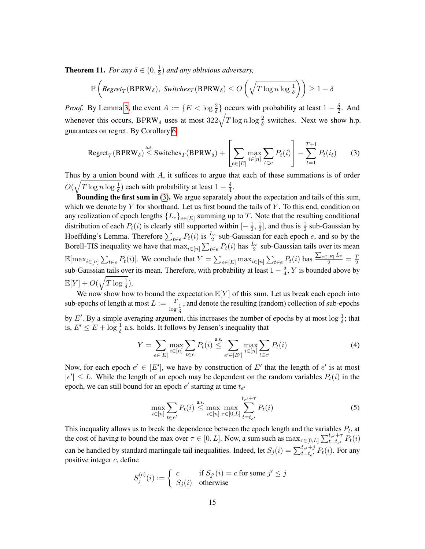<span id="page-14-3"></span>**Theorem 11.** *For any*  $\delta \in (0, \frac{1}{2})$  $\frac{1}{2}$ ) and any oblivious adversary,

$$
\mathbb{P}\left(\text{Regret}_{T}(\text{BPRW}_{\delta}), \text{ Switches}_{T}(\text{BPRW}_{\delta}) \le O\left(\sqrt{T\log n \log \frac{1}{\delta}}\right)\right) \ge 1 - \delta
$$

*Proof.* By Lemma [3,](#page-9-2) the event  $A := \{E < \log \frac{2}{\delta}\}\)$  occurs with probability at least  $1 - \frac{\delta}{2}$  $\frac{\delta}{2}$ . And whenever this occurs, BPRW<sub> $\delta$ </sub> uses at most  $322\sqrt{T \log n \log \frac{2}{\delta}}$  switches. Next we show h.p. guarantees on regret. By Corollary [6,](#page-12-5)

<span id="page-14-0"></span>
$$
\text{Regret}_{T}(\text{BPRW}_{\delta}) \stackrel{\text{a.s.}}{\leq} \text{Switches}_{T}(\text{BPRW}_{\delta}) + \left[\sum_{e \in [E]} \max_{i \in [n]} \sum_{t \in e} P_{t}(i)\right] - \sum_{t=1}^{T+1} P_{t}(i_{t}) \tag{3}
$$

Thus by a union bound with  $A$ , it suffices to argue that each of these summations is of order  $O(\sqrt{T \log n \log \frac{1}{\delta}})$  each with probability at least  $1-\frac{\delta}{4}$  $\frac{\delta}{4}$ .

**Bounding the first sum in**  $(3)$ . We argue separately about the expectation and tails of this sum, which we denote by  $Y$  for shorthand. Let us first bound the tails of  $Y$ . To this end, condition on any realization of epoch lengths  $\{L_e\}_{e \in [E]}$  summing up to T. Note that the resulting conditional distribution of each  $P_t(i)$  is clearly still supported within  $[-\frac{1}{2}]$  $\frac{1}{2}, \frac{1}{2}$  $\frac{1}{2}$ , and thus is  $\frac{1}{2}$  sub-Gaussian by Hoeffding's Lemma. Therefore  $\sum_{t \in e} P_t(i)$  is  $\frac{L_e}{2}$  sub-Gaussian for each epoch e, and so by the Borell-TIS inequality we have that  $\max_{i \in [n]} \sum_{t \in e} P_t(i)$  has  $\frac{L_e}{2}$  sub-Gaussian tails over its mean  $\mathbb{E}[\max_{i\in[n]}\sum_{t\in e}P_t(i)]$ . We conclude that  $Y = \sum_{e\in[E]}\max_{i\in[n]}\sum_{t\in e}P_t(i)$  has  $\frac{\sum_{e\in[E]}L_e}{2} = \frac{T}{2}$ 2 sub-Gaussian tails over its mean. Therefore, with probability at least  $1 - \frac{\delta}{4}$  $\frac{\delta}{4}$ , Y is bounded above by  $\mathbb{E}[Y] + O(\sqrt{T \log \frac{1}{\delta}}).$ 

We now show how to bound the expectation  $\mathbb{E}[Y]$  of this sum. Let us break each epoch into sub-epochs of length at most  $L := \frac{T}{\log \frac{1}{\delta}}$ , and denote the resulting (random) collection of sub-epochs by E'. By a simple averaging argument, this increases the number of epochs by at most  $\log \frac{1}{\delta}$ ; that is,  $E' \le E + \log \frac{1}{\delta}$  a.s. holds. It follows by Jensen's inequality that

$$
Y = \sum_{e \in [E]} \max_{i \in [n]} \sum_{t \in e} P_t(i) \stackrel{\text{a.s.}}{\leq} \sum_{e' \in [E']} \max_{i \in [n]} \sum_{t \in e'} P_t(i) \tag{4}
$$

Now, for each epoch  $e' \in [E']$ , we have by construction of E' that the length of  $e'$  is at most  $|e'|\leq L$ . While the length of an epoch may be dependent on the random variables  $P_t(i)$  in the epoch, we can still bound for an epoch  $e'$  starting at time  $t_{e'}$ 

<span id="page-14-2"></span><span id="page-14-1"></span>
$$
\max_{i \in [n]} \sum_{t \in e'} P_t(i) \stackrel{\text{a.s.}}{\leq} \max_{i \in [n]} \max_{\tau \in [0,L]} \sum_{t=t_{e'}}^{t_{e'} + \tau} P_t(i)
$$
\n(5)

This inequality allows us to break the dependence between the epoch length and the variables  $P_t$ , at the cost of having to bound the max over  $\tau \in [0, L]$ . Now, a sum such as  $\max_{\tau \in [0, L]} \sum_{t=t_{e'}}^{t_{e'} + \tau} P_t(i)$ can be handled by standard martingale tail inequalities. Indeed, let  $S_j(i) = \sum_{t=t_{e'}}^{t_{e'}+j} P_t(i)$ . For any positive integer  $c$ , define

$$
S_j^{(c)}(i) := \begin{cases} c & \text{if } S_{j'}(i) = c \text{ for some } j' \le j \\ S_j(i) & \text{otherwise} \end{cases}
$$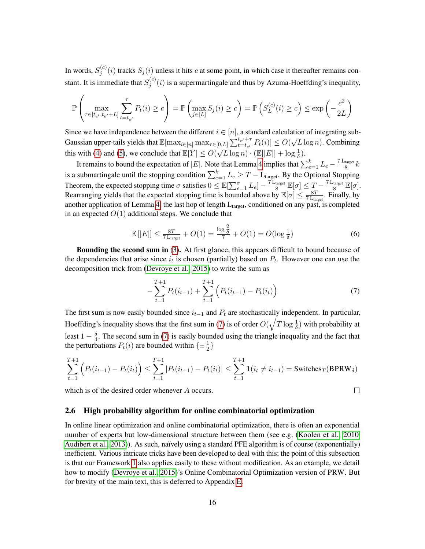In words,  $S_i^{(c)}$  $j^{(c)}(i)$  tracks  $S_j(i)$  unless it hits c at some point, in which case it thereafter remains constant. It is immediate that  $S_i^{(c)}$  $j^{(c)}(i)$  is a supermartingale and thus by Azuma-Hoeffding's inequality,

$$
\mathbb{P}\left(\max_{\tau\in[t_{e'},t_{e'}+L]}\sum_{t=t_{e'}}^{\tau}P_t(i)\geq c\right)=\mathbb{P}\left(\max_{j\in[L]}S_j(i)\geq c\right)=\mathbb{P}\left(S_L^{(c)}(i)\geq c\right)\leq \exp\left(-\frac{c^2}{2L}\right)
$$

Since we have independence between the different  $i \in [n]$ , a standard calculation of integrating sub-Gaussian upper-tails yields that  $\mathbb{E}[\max_{i \in [n]} \max_{\tau \in [0,L]} \sum_{t=t_{e'}}^{t_{e'}+\tau} P_t(i)] \leq O(\tau)$ √  $\overline{L \log n}$ ). Combining this with [\(4\)](#page-14-1) and [\(5\)](#page-14-2), we conclude that  $\mathbb{E}[Y] \leq O(\sqrt{L \log n}) \cdot (\mathbb{E}[|E|] + \log \frac{1}{\delta})$ .

It remains to bound the expectation of |E|. Note that Lemma [4](#page-10-2) implies that  $\sum_{e=1}^{k} L_e - \frac{7 L_{\text{target}}}{8}$  $\frac{\frac{\text{target}}{8}}{k}$ is a submartingale until the stopping condition  $\sum_{e=1}^{k} L_e \geq T - \text{L}_{\text{target}}$ . By the Optional Stopping Theorem, the expected stopping time  $\sigma$  satisfies  $0 \leq \mathbb{E}[\sum_{e=1}^{\sigma} L_e] - \frac{7 L_{\text{target}}}{8}$  $\frac{\text{target}}{8}$   $\mathbb{E}[\sigma] \leq T - \frac{7 \text{ L}_{\text{target}}}{8}$  $rac{\text{target}}{8}$   $\mathbb{E}[\sigma].$ Rearranging yields that the expected stopping time is bounded above by  $\mathbb{E}[\sigma] \leq \frac{8T}{7}$  $\frac{8T}{7 \text{L<sub>target</sub>}}$ . Finally, by another application of Lemma [4,](#page-10-2) the last hop of length  $L_{target}$ , conditioned on any past, is completed in an expected  $O(1)$  additional steps. We conclude that

$$
\mathbb{E}\left[|E|\right] \le \frac{8T}{7 \text{L}_{\text{target}}} + O(1) = \frac{\log \frac{2}{\delta}}{7} + O(1) = O(\log \frac{1}{\delta})\tag{6}
$$

Bounding the second sum in [\(3\)](#page-14-0). At first glance, this appears difficult to bound because of the dependencies that arise since  $i_t$  is chosen (partially) based on  $P_t$ . However one can use the decomposition trick from [\(Devroye et al., 2015\)](#page-23-0) to write the sum as

$$
-\sum_{t=1}^{T+1} P_t(i_{t-1}) + \sum_{t=1}^{T+1} \left( P_t(i_{t-1}) - P_t(i_t) \right) \tag{7}
$$

<span id="page-15-2"></span><span id="page-15-1"></span> $\Box$ 

The first sum is now easily bounded since  $i_{t-1}$  and  $P_t$  are stochastically independent. In particular, Hoeffding's inequality shows that the first sum in [\(7\)](#page-15-1) is of order  $O(\sqrt{T\log{\frac{1}{\delta}}})$  with probability at least 1  $-\frac{\delta}{4}$  $\frac{6}{4}$ . The second sum in [\(7\)](#page-15-1) is easily bounded using the triangle inequality and the fact that the perturbations  $P_t(i)$  are bounded within  $\{\pm \frac{1}{2}$  $\frac{1}{2}$ 

$$
\sum_{t=1}^{T+1} \left( P_t(i_{t-1}) - P_t(i_t) \right) \le \sum_{t=1}^{T+1} |P_t(i_{t-1}) - P_t(i_t)| \le \sum_{t=1}^{T+1} \mathbf{1}(i_t \ne i_{t-1}) = \text{Switches}_{T}(\text{BPRW}_{\delta})
$$

which is of the desired order whenever A occurs.

### <span id="page-15-0"></span>2.6 High probability algorithm for online combinatorial optimization

In online linear optimization and online combinatorial optimization, there is often an exponential number of experts but low-dimensional structure between them (see e.g. [\(Koolen et al., 2010,](#page-23-2) [Audibert et al., 2013\)](#page-22-9)). As such, naïvely using a standard PFE algorithm is of course (exponentially) inefficient. Various intricate tricks have been developed to deal with this; the point of this subsection is that our Framework [1](#page-8-1) also applies easily to these without modification. As an example, we detail how to modify [\(Devroye et al., 2015\)](#page-23-0)'s Online Combinatorial Optimization version of PRW. But for brevity of the main text, this is deferred to Appendix [E.](#page-28-0)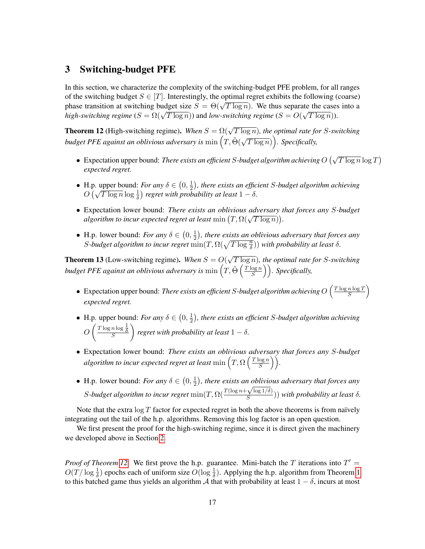# <span id="page-16-0"></span>3 Switching-budget PFE

In this section, we characterize the complexity of the switching-budget PFE problem, for all ranges of the switching budget  $S \in [T]$ . Interestingly, the optimal regret exhibits the following (coarse) phase transition at switching budget size  $S = \Theta(\sqrt{T \log n})$ . We thus separate the cases into a *high-switching regime*  $(S = \Omega(\sqrt{T \log n}))$  and *low-switching regime*  $(S = O(\sqrt{T \log n}))$ .

<span id="page-16-1"></span>**Theorem 12** (High-switching regime). *When*  $S = \Omega(\sqrt{T \log n})$ , the optimal rate for *S*-switching *budget PFE against an oblivious adversary is* min  $(T, \tilde{\Theta}(\sqrt{T}))$  $(\overline{T \log n})$ ). Specifically,

- Expectation upper bound: *There exists an efficient S-budget algorithm achieving*  $O(\sqrt{T \log n} \log T)$ *expected regret.*
- H.p. upper bound: *For any*  $\delta \in (0, \frac{1}{2})$  $\frac{1}{2}$ ), there exists an efficient S-budget algorithm achieving *ii.p.* upper bound: *For any*  $o \in (0, \frac{1}{2})$ , *inere exists an eyjic*  $O(\sqrt{T \log n} \log \frac{1}{\delta})$  regret with probability at least  $1 - \delta$ .
- Expectation lower bound: *There exists an oblivious adversary that forces any* S*-budget*  $\alpha$  *algorithm to incur expected regret at least* min  $(T, \Omega(\sqrt{T \log n}))$ .
- H.p. lower bound: *For any*  $\delta \in \left(0, \frac{1}{2}\right)$  $\frac{1}{2}$ ), there exists an oblivious adversary that forces any S-budget algorithm to incur regret  $\min(T, \Omega(\sqrt{T \log{\frac{n}{\delta}}}))$  with probability at least  $\delta$ .

<span id="page-16-2"></span>**Theorem 13** (Low-switching regime). When  $S = O(\frac{1}{\sqrt{2\pi}})$ √ T log n)*, the optimal rate for* S*-switching* budget PFE against an oblivious adversary is  $\min\left(T,\tilde{\Theta}\left(\frac{T\log n}{S}\right)\right)$  $\binom{\log n}{S}$ ). Specifically,

- Expectation upper bound: *There exists an efficient S-budget algorithm achieving*  $O\left(\frac{T \log n \log T}{S}\right)$  $\frac{n \log T}{S}$ *expected regret.*
- H.p. upper bound: *For any*  $\delta \in (0, \frac{1}{2})$  $\frac{1}{2}$ ), there exists an efficient S-budget algorithm achieving  $O\left(\frac{T\log n \log \frac{1}{\delta}}{S}\right)$ *f* regret with probability at least  $1 - \delta$ .
- Expectation lower bound: *There exists an oblivious adversary that forces any* S*-budget* algorithm to incur expected regret at least  $\min\left(T, \Omega\left(\frac{T\log n}{S}\right)\right)$  $\frac{\log n}{S}$ ).
- H.p. lower bound: *For any*  $\delta \in (0, \frac{1}{2})$  $(\frac{1}{2})$ , there exists an oblivious adversary that forces any *S*-budget algorithm to incur regret  $\min(T, \Omega(\frac{T(\log n + \sqrt{\log 1/\delta})}{S}))$  $\frac{\sqrt{N} \log(1/\delta)}{S}$ ) with probability at least  $\delta$ .

Note that the extra  $\log T$  factor for expected regret in both the above theorems is from naïvely integrating out the tail of the h.p. algorithms. Removing this log factor is an open question.

We first present the proof for the high-switching regime, since it is direct given the machinery we developed above in Section [2.](#page-7-0)

*Proof of Theorem [12.](#page-16-1)* We first prove the h.p. guarantee. Mini-batch the T iterations into  $T' =$  $O(T/\log \frac{1}{\delta})$  epochs each of uniform size  $O(\log \frac{1}{\delta})$ . Applying the h.p. algorithm from Theorem [1](#page-7-1) to this batched game thus yields an algorithm A that with probability at least  $1 - \delta$ , incurs at most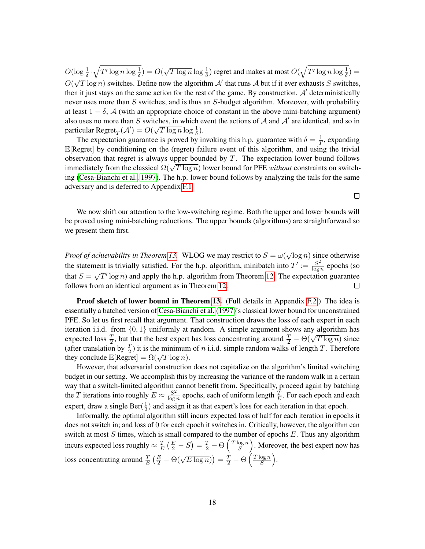$O(\log \frac{1}{\delta} \cdot \sqrt{T' \log n \log \frac{1}{\delta}}) = O(\delta)$  $\sqrt{T \log n} \log \frac{1}{\delta}$  regret and makes at most  $O(\sqrt{T' \log n \log \frac{1}{\delta}})$  =  $O(\sqrt{T \log n})$  switches. Define now the algorithm  $\mathcal{A}'$  that runs  $\mathcal A$  but if it ever exhausts S switches, √ then it just stays on the same action for the rest of the game. By construction,  $A'$  deterministically never uses more than  $S$  switches, and is thus an  $S$ -budget algorithm. Moreover, with probability at least  $1 - \delta$ , A (with an appropriate choice of constant in the above mini-batching argument) also uses no more than S switches, in which event the actions of A and A' are identical, and so in particular  $\text{Regret}_T(\mathcal{A}') = O(\sqrt{T \log n} \log \frac{1}{\delta}).$ 

The expectation guarantee is proved by invoking this h.p. guarantee with  $\delta = \frac{1}{7}$  $\frac{1}{T}$ , expanding  $\mathbb{E}[\text{Regret}]$  by conditioning on the (regret) failure event of this algorithm, and using the trivial observation that regret is always upper bounded by  $T$ . The expectation lower bound follows immediately from the classical Ω(<sup>√</sup> T log n) lower bound for PFE *without* constraints on switching [\(Cesa-Bianchi et al., 1997\)](#page-22-2). The h.p. lower bound follows by analyzing the tails for the same adversary and is deferred to Appendix [F.1.](#page-31-1)

We now shift our attention to the low-switching regime. Both the upper and lower bounds will be proved using mini-batching reductions. The upper bounds (algorithms) are straightforward so we present them first.

√ *Proof of achievability in Theorem [13.](#page-16-2)* WLOG we may restrict to  $S = \omega$  $\overline{\log n}$ ) since otherwise the statement is trivially satisfied. For the h.p. algorithm, minibatch into  $T' := \frac{S^2}{\log T}$ nent is trivially satisfied. For the h.p. algorithm, minibatch into  $T' := \frac{S^2}{\log n}$  epochs (so that  $S = \sqrt{T' \log n}$  and apply the h.p. algorithm from Theorem [12.](#page-16-1) The expectation guarantee follows from an identical argument as in Theorem [12.](#page-16-1) П

Proof sketch of lower bound in Theorem [13.](#page-16-2) (Full details in Appendix [F.2.](#page-33-0)) The idea is essentially a batched version of [Cesa-Bianchi et al.](#page-22-2) [\(1997\)](#page-22-2)'s classical lower bound for unconstrained PFE. So let us first recall that argument. That construction draws the loss of each expert in each iteration i.i.d. from  $\{0, 1\}$  uniformly at random. A simple argument shows any algorithm has expected loss  $\frac{T}{2}$ , but that the best expert has loss concentrating around  $\frac{T}{2} - \Theta(\sqrt{T \log n})$  since (after translation by  $\frac{T}{2}$ ) it is the minimum of *n* i.i.d. simple random walks of length *T*. Therefore they conclude  $\mathbb{E}[\text{Regret}] = \Omega(\sqrt{T \log n}).$ 

However, that adversarial construction does not capitalize on the algorithm's limited switching budget in our setting. We accomplish this by increasing the variance of the random walk in a certain way that a switch-limited algorithm cannot benefit from. Specifically, proceed again by batching the T iterations into roughly  $E \approx \frac{S^2}{\log S}$  $\frac{S^2}{\log n}$  epochs, each of uniform length  $\frac{T}{E}$ . For each epoch and each expert, draw a single Ber( $\frac{1}{2}$ )  $\frac{1}{2}$ ) and assign it as that expert's loss for each iteration in that epoch.

Informally, the optimal algorithm still incurs expected loss of half for each iteration in epochs it does not switch in; and loss of 0 for each epoch it switches in. Critically, however, the algorithm can switch at most  $S$  times, which is small compared to the number of epochs  $E$ . Thus any algorithm incurs expected loss roughly  $\approx \frac{T}{E}$  $\frac{T}{E}\left(\frac{E}{2}-S\right)=\frac{T}{2}-\Theta\left(\frac{T\log n}{S}\right)$  $\frac{\log n}{S}$ ). Moreover, the best expert now has loss concentrating around  $\frac{T}{E} \left( \frac{E}{2} - \Theta(\sqrt{E \log n}) \right) = \frac{T}{2} - \Theta \left( \frac{T \log n}{S} \right)$  $\frac{\log n}{S}$ .

 $\Box$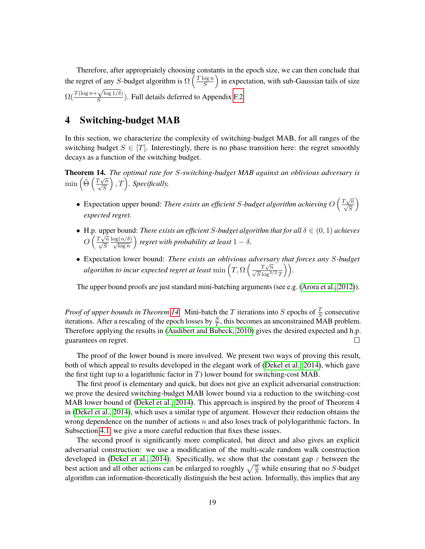Therefore, after appropriately choosing constants in the epoch size, we can then conclude that the regret of any S-budget algorithm is  $\Omega\left(\frac{T \log n}{S}\right)$  $\frac{\log n}{S}$  in expectation, with sub-Gaussian tails of size  $\Omega(\frac{T(\log n +$  $\sqrt{\log 1/\delta}$  $\frac{\mathcal{N} \log 1/\sigma}{S}$ ). Full details deferred to Appendix [F.2.](#page-33-0)

# <span id="page-18-0"></span>4 Switching-budget MAB

In this section, we characterize the complexity of switching-budget MAB, for all ranges of the switching budget  $S \in [T]$ . Interestingly, there is no phase transition here: the regret smoothly decays as a function of the switching budget.

<span id="page-18-1"></span>Theorem 14. *The optimal rate for* S*-switching-budget MAB against an oblivious adversary is* min  $\left(\tilde{\Theta}\left(\frac{T\sqrt{n}}{\sqrt{S}}\right)\right)$  $($ ,  $T$ ). Specifically,

- Expectation upper bound: *There exists an efficient S-budget algorithm achieving*  $O\left(\frac{T\sqrt{n}}{\sqrt{S}}\right)$  $\setminus$ *expected regret.*
- H.p. upper bound: *There exists an efficient S-budget algorithm that for all*  $\delta \in (0,1)$  *achieves*  $O\left(\frac{T\sqrt{n}}{\sqrt{S}}\right)$  $\frac{\log(n/\delta)}{\sqrt{\log n}}$ *f* regret with probability at least  $1 - \delta$ .
- Expectation lower bound: *There exists an oblivious adversary that forces any* S*-budget algorithm to incur expected regret at least* min  $\left(T, \Omega\left(\frac{T\sqrt{n}}{\sqrt{S}\log^{3/2}T}\right)\right)$ .

The upper bound proofs are just standard mini-batching arguments (see e.g. [\(Arora et al., 2012\)](#page-22-12)).

*Proof of upper bounds in Theorem [14.](#page-18-1)* Mini-batch the T iterations into S epochs of  $\frac{T}{S}$  consecutive iterations. After a rescaling of the epoch losses by  $\frac{S}{T}$ , this becomes an unconstrained MAB problem. Therefore applying the results in [\(Audibert and Bubeck, 2010\)](#page-22-11) gives the desired expected and h.p. guarantees on regret.  $\Box$ 

The proof of the lower bound is more involved. We present two ways of proving this result, both of which appeal to results developed in the elegant work of [\(Dekel et al., 2014\)](#page-22-0), which gave the first tight (up to a logarithmic factor in  $T$ ) lower bound for switching-cost MAB.

The first proof is elementary and quick, but does not give an explicit adversarial construction: we prove the desired switching-budget MAB lower bound via a reduction to the switching-cost MAB lower bound of [\(Dekel et al., 2014\)](#page-22-0). This approach is inspired by the proof of Theorem 4 in [\(Dekel et al., 2014\)](#page-22-0), which uses a similar type of argument. However their reduction obtains the wrong dependence on the number of actions  $n$  and also loses track of polylogarithmic factors. In Subsection [4.1,](#page-19-0) we give a more careful reduction that fixes these issues.

The second proof is significantly more complicated, but direct and also gives an explicit adversarial construction: we use a modification of the multi-scale random walk construction developed in [\(Dekel et al., 2014\)](#page-22-0). Specifically, we show that the constant gap  $\varepsilon$  between the best action and all other actions can be enlarged to roughly  $\sqrt{\frac{n}{S}}$  while ensuring that no S-budget algorithm can information-theoretically distinguish the best action. Informally, this implies that any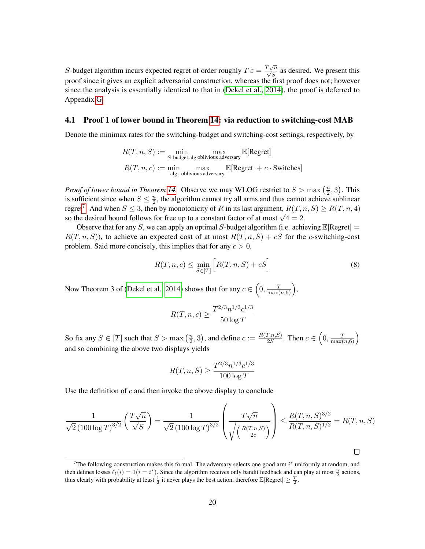S-budget algorithm incurs expected regret of order roughly  $T \varepsilon = \frac{T\sqrt{n}}{\sqrt{S}}$  as desired. We present this proof since it gives an explicit adversarial construction, whereas the first proof does not; however since the analysis is essentially identical to that in [\(Dekel et al., 2014\)](#page-22-0), the proof is deferred to Appendix [G.](#page-35-0)

#### <span id="page-19-0"></span>4.1 Proof 1 of lower bound in Theorem [14:](#page-18-1) via reduction to switching-cost MAB

Denote the minimax rates for the switching-budget and switching-cost settings, respectively, by

$$
R(T, n, S) := \min_{S\text{-budget alg oblivious adversary}} \max_{\text{E}[Regret]} E[R\text{egret}]
$$

$$
R(T, n, c) := \min_{\text{alg oblivious adversary}} \max_{\text{E}[Regret + c \cdot Switches]}
$$

*Proof of lower bound in Theorem [14.](#page-18-1)* Observe we may WLOG restrict to  $S > \max\left(\frac{n}{2}\right)$  $(\frac{n}{2},3)$ . This is sufficient since when  $S \leq \frac{n}{2}$  $\frac{n}{2}$ , the algorithm cannot try all arms and thus cannot achieve sublinear regret<sup>[7](#page-19-1)</sup>. And when  $S \leq 3$ , then by monotonicity of R in its last argument,  $R(T, n, S) \geq R(T, n, 4)$ so the desired bound follows for free up to a constant factor of at most  $\sqrt{4} = 2$ .

Observe that for any S, we can apply an optimal S-budget algorithm (i.e. achieving  $\mathbb{E}[\text{Regret}]$  =  $R(T, n, S)$ , to achieve an expected cost of at most  $R(T, n, S) + cS$  for the c-switching-cost problem. Said more concisely, this implies that for any  $c > 0$ ,

$$
R(T, n, c) \le \min_{S \in [T]} \left[ R(T, n, S) + cS \right] \tag{8}
$$

Now Theorem 3 of [\(Dekel et al., 2014\)](#page-22-0) shows that for any  $c \in \left(0, \frac{T}{\max(n, 6)}\right)$ ,

<span id="page-19-2"></span>
$$
R(T, n, c) \ge \frac{T^{2/3} n^{1/3} c^{1/3}}{50 \log T}
$$

So fix any  $S \in [T]$  such that  $S > \max\left(\frac{n}{2}\right)$  $(\frac{n}{2},3)$ , and define  $c := \frac{R(T,n,S)}{2S}$  $\frac{T(n,S)}{2S}$ . Then  $c \in \left(0, \frac{T}{\max(n,6)}\right)$ and so combining the above two displays yields

$$
R(T, n, S) \ge \frac{T^{2/3} n^{1/3} c^{1/3}}{100 \log T}
$$

Use the definition of  $c$  and then invoke the above display to conclude

$$
\frac{1}{\sqrt{2} (100 \log T)^{3/2}} \left( \frac{T \sqrt{n}}{\sqrt{S}} \right) = \frac{1}{\sqrt{2} (100 \log T)^{3/2}} \left( \frac{T \sqrt{n}}{\sqrt{\left( \frac{R(T,n,S)}{2c} \right)}} \right) \leq \frac{R(T,n,S)^{3/2}}{R(T,n,S)^{1/2}} = R(T,n,S)
$$

<span id="page-19-1"></span><sup>&</sup>lt;sup>7</sup>The following construction makes this formal. The adversary selects one good arm  $i^*$  uniformly at random, and then defines losses  $\ell_t(i) = 1(i = i^*)$ . Since the algorithm receives only bandit feedback and can play at most  $\frac{n}{2}$  actions, thus clearly with probability at least  $\frac{1}{2}$  it never plays the best action, therefore  $\mathbb{E}[\text{Regret}] \geq \frac{T}{2}$ .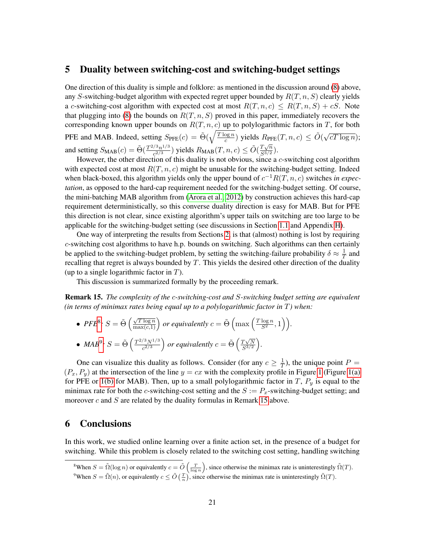### <span id="page-20-0"></span>5 Duality between switching-cost and switching-budget settings

One direction of this duality is simple and folklore: as mentioned in the discussion around [\(8\)](#page-19-2) above, any S-switching-budget algorithm with expected regret upper bounded by  $R(T, n, S)$  clearly yields a c-switching-cost algorithm with expected cost at most  $R(T, n, c) \leq R(T, n, S) + cS$ . Note that plugging into [\(8\)](#page-19-2) the bounds on  $R(T, n, S)$  proved in this paper, immediately recovers the corresponding known upper bounds on  $R(T, n, c)$  up to polylogarithmic factors in T, for both PFE and MAB. Indeed, setting  $S_{\text{PFE}}(c) = \tilde{\Theta}(\sqrt{\frac{T \log n}{c}})$  $\frac{\log n}{c}$ ) yields  $R_{\text{PFE}}(T, n, c) \leq \tilde{O}(\sqrt{c})$  $\overline{cT \log n});$ and setting  $S_{\text{MAB}}(c) = \tilde{\Theta}(\frac{T^{2/3}n^{1/3}}{c^{2/3}})$  $\frac{Z^{3}n^{1/3}}{c^{2/3}}$ ) yields  $R_{\text{MAB}}(T, n, c) \leq \tilde{O}(\frac{T\sqrt{n}}{S^{3/2}})$  $\frac{1\sqrt{n}}{S^{3/2}}$ ).

However, the other direction of this duality is not obvious, since a  $c$ -switching cost algorithm with expected cost at most  $R(T, n, c)$  might be unusable for the switching-budget setting. Indeed when black-boxed, this algorithm yields only the upper bound of  $c^{-1}R(T, n, c)$  switches *in expectation*, as opposed to the hard-cap requirement needed for the switching-budget setting. Of course, the mini-batching MAB algorithm from [\(Arora et al., 2012\)](#page-22-12) by construction achieves this hard-cap requirement deterministically, so this converse duality direction is easy for MAB. But for PFE this direction is not clear, since existing algorithm's upper tails on switching are too large to be applicable for the switching-budget setting (see discussions in Section [1.1](#page-4-0) and Appendix [H\)](#page-40-0).

One way of interpreting the results from Sections [2,](#page-7-0) is that (almost) nothing is lost by requiring c-switching cost algorithms to have h.p. bounds on switching. Such algorithms can then certainly be applied to the switching-budget problem, by setting the switching-failure probability  $\delta \approx \frac{1}{T}$  $\frac{1}{T}$  and recalling that regret is always bounded by  $T$ . This yields the desired other direction of the duality (up to a single logarithmic factor in  $T$ ).

This discussion is summarized formally by the proceeding remark.

<span id="page-20-4"></span>Remark 15. *The complexity of the* c*-switching-cost and* S*-switching budget setting are equivalent (in terms of minimax rates being equal up to a polylogarithmic factor in* T*) when:*

• 
$$
PFE^8
$$
:  $S = \tilde{\Theta}\left(\frac{\sqrt{T \log n}}{\max(c,1)}\right)$  or equivalently  $c = \tilde{\Theta}\left(\max\left(\frac{T \log n}{S^2},1\right)\right)$ .  
\n•  $MAB^9$ :  $S = \tilde{\Theta}\left(\frac{T^{2/3}N^{1/3}}{c^{2/3}}\right)$  or equivalently  $c = \tilde{\Theta}\left(\frac{T\sqrt{N}}{S^{3/2}}\right)$ .

One can visualize this duality as follows. Consider (for any  $c \geq \frac{1}{7}$  $(\frac{1}{T})$ , the unique point  $P =$  $(P_x, P_y)$  at the intersection of the line  $y = cx$  with the complexity profile in Figure [1](#page-6-4) (Figure [1\(a\)](#page-6-5) for PFE or [1\(b\)](#page-6-6) for MAB). Then, up to a small polylogarithmic factor in T,  $P_y$  is equal to the minimax rate for both the c-switching-cost setting and the  $S := P_x$ -switching-budget setting; and moreover  $c$  and  $S$  are related by the duality formulas in Remark [15](#page-20-4) above.

 $S^{3/2}$ 

# <span id="page-20-1"></span>6 Conclusions

In this work, we studied online learning over a finite action set, in the presence of a budget for switching. While this problem is closely related to the switching cost setting, handling switching

<span id="page-20-3"></span><span id="page-20-2"></span><sup>&</sup>lt;sup>8</sup>When  $S = \tilde{\Omega}(\log n)$  or equivalently  $c = \tilde{O}(\frac{T}{\log n})$ , since otherwise the minimax rate is uninterestingly  $\tilde{\Omega}(T)$ . <sup>9</sup>When  $S = \tilde{\Omega}(n)$ , or equivalently  $c \le \tilde{O}(\frac{T}{n})$ , since otherwise the minimax rate is uninterestingly  $\tilde{\Omega}(T)$ .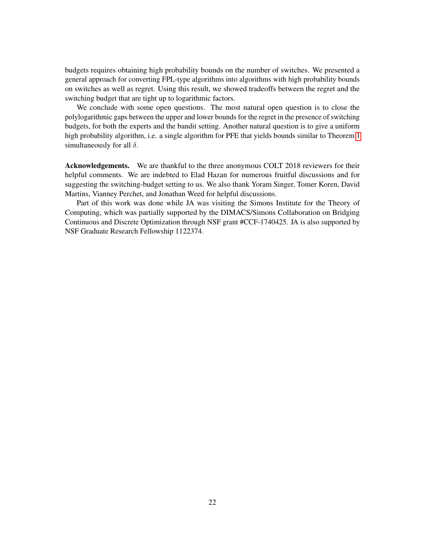budgets requires obtaining high probability bounds on the number of switches. We presented a general approach for converting FPL-type algorithms into algorithms with high probability bounds on switches as well as regret. Using this result, we showed tradeoffs between the regret and the switching budget that are tight up to logarithmic factors.

We conclude with some open questions. The most natural open question is to close the polylogarithmic gaps between the upper and lower bounds for the regret in the presence of switching budgets, for both the experts and the bandit setting. Another natural question is to give a uniform high probability algorithm, i.e. a single algorithm for PFE that yields bounds similar to Theorem [1](#page-7-1) simultaneously for all  $\delta$ .

<span id="page-21-0"></span>Acknowledgements. We are thankful to the three anonymous COLT 2018 reviewers for their helpful comments. We are indebted to Elad Hazan for numerous fruitful discussions and for suggesting the switching-budget setting to us. We also thank Yoram Singer, Tomer Koren, David Martins, Vianney Perchet, and Jonathan Weed for helpful discussions.

Part of this work was done while JA was visiting the Simons Institute for the Theory of Computing, which was partially supported by the DIMACS/Simons Collaboration on Bridging Continuous and Discrete Optimization through NSF grant #CCF-1740425. JA is also supported by NSF Graduate Research Fellowship 1122374.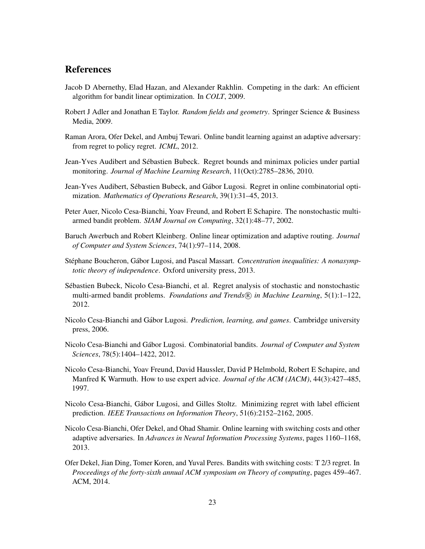# References

- <span id="page-22-7"></span>Jacob D Abernethy, Elad Hazan, and Alexander Rakhlin. Competing in the dark: An efficient algorithm for bandit linear optimization. In *COLT*, 2009.
- <span id="page-22-14"></span>Robert J Adler and Jonathan E Taylor. *Random fields and geometry*. Springer Science & Business Media, 2009.
- <span id="page-22-12"></span>Raman Arora, Ofer Dekel, and Ambuj Tewari. Online bandit learning against an adaptive adversary: from regret to policy regret. *ICML*, 2012.
- <span id="page-22-11"></span>Jean-Yves Audibert and Sebastien Bubeck. Regret bounds and minimax policies under partial ´ monitoring. *Journal of Machine Learning Research*, 11(Oct):2785–2836, 2010.
- <span id="page-22-9"></span>Jean-Yves Audibert, Sébastien Bubeck, and Gábor Lugosi. Regret in online combinatorial optimization. *Mathematics of Operations Research*, 39(1):31–45, 2013.
- <span id="page-22-4"></span>Peter Auer, Nicolo Cesa-Bianchi, Yoav Freund, and Robert E Schapire. The nonstochastic multiarmed bandit problem. *SIAM Journal on Computing*, 32(1):48–77, 2002.
- <span id="page-22-6"></span>Baruch Awerbuch and Robert Kleinberg. Online linear optimization and adaptive routing. *Journal of Computer and System Sciences*, 74(1):97–114, 2008.
- <span id="page-22-13"></span>Stéphane Boucheron, Gábor Lugosi, and Pascal Massart. *Concentration inequalities: A nonasymptotic theory of independence*. Oxford university press, 2013.
- <span id="page-22-5"></span>Sebastien Bubeck, Nicolo Cesa-Bianchi, et al. Regret analysis of stochastic and nonstochastic ´ multi-armed bandit problems. *Foundations and Trends*<sup>(R)</sup> in Machine Learning, 5(1):1–122, 2012.
- <span id="page-22-3"></span>Nicolo Cesa-Bianchi and Gábor Lugosi. *Prediction, learning, and games*. Cambridge university press, 2006.
- <span id="page-22-8"></span>Nicolo Cesa-Bianchi and Gabor Lugosi. Combinatorial bandits. ´ *Journal of Computer and System Sciences*, 78(5):1404–1422, 2012.
- <span id="page-22-2"></span>Nicolo Cesa-Bianchi, Yoav Freund, David Haussler, David P Helmbold, Robert E Schapire, and Manfred K Warmuth. How to use expert advice. *Journal of the ACM (JACM)*, 44(3):427–485, 1997.
- <span id="page-22-10"></span>Nicolo Cesa-Bianchi, Gabor Lugosi, and Gilles Stoltz. Minimizing regret with label efficient ´ prediction. *IEEE Transactions on Information Theory*, 51(6):2152–2162, 2005.
- <span id="page-22-1"></span>Nicolo Cesa-Bianchi, Ofer Dekel, and Ohad Shamir. Online learning with switching costs and other adaptive adversaries. In *Advances in Neural Information Processing Systems*, pages 1160–1168, 2013.
- <span id="page-22-0"></span>Ofer Dekel, Jian Ding, Tomer Koren, and Yuval Peres. Bandits with switching costs: T 2/3 regret. In *Proceedings of the forty-sixth annual ACM symposium on Theory of computing*, pages 459–467. ACM, 2014.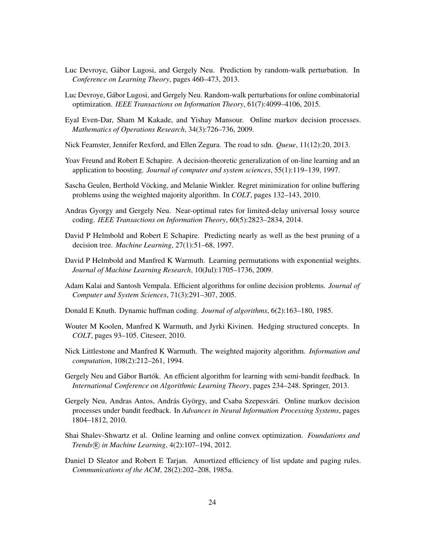- <span id="page-23-15"></span>Luc Devroye, Gabor Lugosi, and Gergely Neu. Prediction by random-walk perturbation. In ´ *Conference on Learning Theory*, pages 460–473, 2013.
- <span id="page-23-0"></span>Luc Devroye, Gabor Lugosi, and Gergely Neu. Random-walk perturbations for online combinatorial ´ optimization. *IEEE Transactions on Information Theory*, 61(7):4099–4106, 2015.
- <span id="page-23-9"></span>Eyal Even-Dar, Sham M Kakade, and Yishay Mansour. Online markov decision processes. *Mathematics of Operations Research*, 34(3):726–736, 2009.
- <span id="page-23-3"></span>Nick Feamster, Jennifer Rexford, and Ellen Zegura. The road to sdn. *Queue*, 11(12):20, 2013.
- <span id="page-23-14"></span>Yoav Freund and Robert E Schapire. A decision-theoretic generalization of on-line learning and an application to boosting. *Journal of computer and system sciences*, 55(1):119–139, 1997.
- <span id="page-23-11"></span>Sascha Geulen, Berthold Vöcking, and Melanie Winkler. Regret minimization for online buffering problems using the weighted majority algorithm. In *COLT*, pages 132–143, 2010.
- <span id="page-23-12"></span>Andras Gyorgy and Gergely Neu. Near-optimal rates for limited-delay universal lossy source coding. *IEEE Transactions on Information Theory*, 60(5):2823–2834, 2014.
- <span id="page-23-6"></span>David P Helmbold and Robert E Schapire. Predicting nearly as well as the best pruning of a decision tree. *Machine Learning*, 27(1):51–68, 1997.
- <span id="page-23-4"></span>David P Helmbold and Manfred K Warmuth. Learning permutations with exponential weights. *Journal of Machine Learning Research*, 10(Jul):1705–1736, 2009.
- <span id="page-23-1"></span>Adam Kalai and Santosh Vempala. Efficient algorithms for online decision problems. *Journal of Computer and System Sciences*, 71(3):291–307, 2005.
- <span id="page-23-8"></span>Donald E Knuth. Dynamic huffman coding. *Journal of algorithms*, 6(2):163–180, 1985.
- <span id="page-23-2"></span>Wouter M Koolen, Manfred K Warmuth, and Jyrki Kivinen. Hedging structured concepts. In *COLT*, pages 93–105. Citeseer, 2010.
- <span id="page-23-13"></span>Nick Littlestone and Manfred K Warmuth. The weighted majority algorithm. *Information and computation*, 108(2):212–261, 1994.
- <span id="page-23-16"></span>Gergely Neu and Gábor Bartók. An efficient algorithm for learning with semi-bandit feedback. In *International Conference on Algorithmic Learning Theory*, pages 234–248. Springer, 2013.
- <span id="page-23-10"></span>Gergely Neu, Andras Antos, András György, and Csaba Szepesvári. Online markov decision processes under bandit feedback. In *Advances in Neural Information Processing Systems*, pages 1804–1812, 2010.
- <span id="page-23-7"></span>Shai Shalev-Shwartz et al. Online learning and online convex optimization. *Foundations and Trends* R *in Machine Learning*, 4(2):107–194, 2012.
- <span id="page-23-5"></span>Daniel D Sleator and Robert E Tarjan. Amortized efficiency of list update and paging rules. *Communications of the ACM*, 28(2):202–208, 1985a.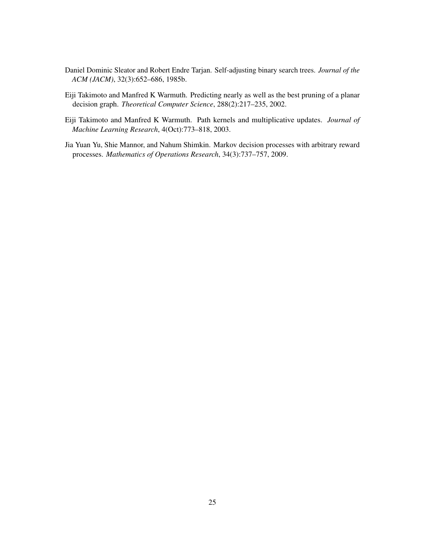- <span id="page-24-1"></span>Daniel Dominic Sleator and Robert Endre Tarjan. Self-adjusting binary search trees. *Journal of the ACM (JACM)*, 32(3):652–686, 1985b.
- <span id="page-24-2"></span>Eiji Takimoto and Manfred K Warmuth. Predicting nearly as well as the best pruning of a planar decision graph. *Theoretical Computer Science*, 288(2):217–235, 2002.
- <span id="page-24-0"></span>Eiji Takimoto and Manfred K Warmuth. Path kernels and multiplicative updates. *Journal of Machine Learning Research*, 4(Oct):773–818, 2003.
- <span id="page-24-3"></span>Jia Yuan Yu, Shie Mannor, and Nahum Shimkin. Markov decision processes with arbitrary reward processes. *Mathematics of Operations Research*, 34(3):737–757, 2009.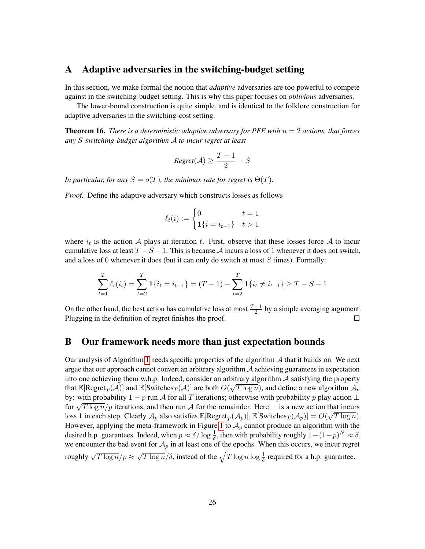# <span id="page-25-0"></span>A Adaptive adversaries in the switching-budget setting

In this section, we make formal the notion that *adaptive* adversaries are too powerful to compete against in the switching-budget setting. This is why this paper focuses on *oblivious* adversaries.

The lower-bound construction is quite simple, and is identical to the folklore construction for adaptive adversaries in the switching-cost setting.

**Theorem 16.** *There is a deterministic adaptive adversary for PFE with*  $n = 2$  *actions, that forces any* S*-switching-budget algorithm* A *to incur regret at least*

$$
Regret(\mathcal{A}) \geq \frac{T-1}{2} - S
$$

*In particular, for any*  $S = o(T)$ *, the minimax rate for regret is*  $\Theta(T)$ *.* 

*Proof.* Define the adaptive adversary which constructs losses as follows

$$
\ell_t(i) := \begin{cases} 0 & t = 1 \\ \mathbf{1}\{i = i_{t-1}\} & t > 1 \end{cases}
$$

where  $i_t$  is the action A plays at iteration t. First, observe that these losses force A to incur cumulative loss at least  $T - S - 1$ . This is because A incurs a loss of 1 whenever it does not switch, and a loss of 0 whenever it does (but it can only do switch at most  $S$  times). Formally:

$$
\sum_{t=1}^{T} \ell_t(i_t) = \sum_{t=2}^{T} \mathbf{1}\{i_t = i_{t-1}\} = (T-1) - \sum_{t=2}^{T} \mathbf{1}\{i_t \neq i_{t-1}\} \ge T - S - 1
$$

On the other hand, the best action has cumulative loss at most  $\frac{T-1}{2}$  by a simple averaging argument. Plugging in the definition of regret finishes the proof.  $\Box$ 

# <span id="page-25-1"></span>B Our framework needs more than just expectation bounds

Our analysis of Algorithm [1](#page-8-1) needs specific properties of the algorithm  $A$  that it builds on. We next argue that our approach cannot convert an arbitrary algorithm  $A$  achieving guarantees in expectation into one achieving them w.h.p. Indeed, consider an arbitrary algorithm  $\mathcal A$  satisfying the property that  $\mathbb{E}[\text{Regret}_T(\mathcal{A})]$  and  $\mathbb{E}[\text{Switches}_T(\mathcal{A})]$  are both  $O(\sqrt{T \log n})$ , and define a new algorithm  $\mathcal{A}_p$ by: with probability  $1 - p$  run A for all T iterations; otherwise with probability p play action  $\perp$ for  $\sqrt{T \log n}/p$  iterations, and then run A for the remainder. Here  $\perp$  is a new action that incurs<br>for  $\sqrt{T \log n}/p$  iterations, and then run A for the remainder. Here  $\perp$  is a new action that incurs loss 1 in each step. Clearly  $\mathcal{A}_p$  also satisfies  $\mathbb{E}[\text{Regret}_T(\mathcal{A}_p)], \mathbb{E}[\text{Switches}_T(\mathcal{A}_p)] = O(\sqrt{T \log n}).$ However, applying the meta-framework in Figure [1](#page-8-1) to  $A_p$  cannot produce an algorithm with the desired h.p. guarantees. Indeed, when  $p \approx \delta/\log \frac{1}{\delta}$ , then with probability roughly  $1-(1-p)^N \approx \delta$ , we encounter the bad event for  $A_p$  in at least one of the epochs. When this occurs, we incur regret roughly  $\sqrt{T \log n}/p \approx$  $\sqrt{T \log n}/\delta$ , instead of the  $\sqrt{T \log n \log \frac{1}{\delta}}$  required for a h.p. guarantee.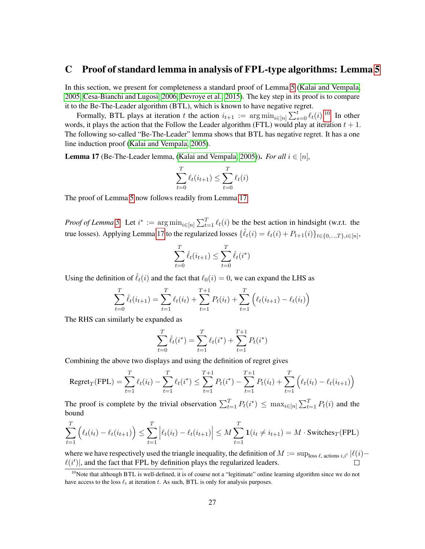### <span id="page-26-0"></span>C Proof of standard lemma in analysis of FPL-type algorithms: Lemma [5](#page-12-1)

In this section, we present for completeness a standard proof of Lemma [5](#page-12-1) [\(Kalai and Vempala,](#page-23-1) [2005,](#page-23-1) [Cesa-Bianchi and Lugosi, 2006,](#page-22-3) [Devroye et al., 2015\)](#page-23-0). The key step in its proof is to compare it to the Be-The-Leader algorithm (BTL), which is known to have negative regret.

Formally, BTL plays at iteration t the action  $i_{t+1} := \arg \min_{i \in [n]} \sum_{s=0}^{t} \ell_i(i)$ .<sup>[10](#page-26-1)</sup> In other words, it plays the action that the Follow the Leader algorithm (FTL) would play at iteration  $t + 1$ . The following so-called "Be-The-Leader" lemma shows that BTL has negative regret. It has a one line induction proof [\(Kalai and Vempala, 2005\)](#page-23-1).

<span id="page-26-2"></span>**Lemma 17** (Be-The-Leader lemma, [\(Kalai and Vempala, 2005\)](#page-23-1)). *For all*  $i \in [n]$ ,

$$
\sum_{t=0}^{T} \ell_t(i_{t+1}) \le \sum_{t=0}^{T} \ell_t(i)
$$

The proof of Lemma [5](#page-12-1) now follows readily from Lemma [17.](#page-26-2)

*Proof of Lemma* [5.](#page-12-1) Let  $i^* := \arg \min_{i \in [n]} \sum_{t=1}^T \ell_t(i)$  be the best action in hindsight (w.r.t. the true losses). Applying Lemma [17](#page-26-2) to the regularized losses  $\{\hat{\ell}_t(i) = \ell_t(i) + P_{t+1}(i)\}_{t \in \{0,\dots,T\}, i \in [n]},$ 

$$
\sum_{t=0}^{T} \hat{\ell}_t(i_{t+1}) \le \sum_{t=0}^{T} \hat{\ell}_t(i^*)
$$

Using the definition of  $\hat{\ell}_t(i)$  and the fact that  $\ell_0(i) = 0$ , we can expand the LHS as

$$
\sum_{t=0}^{T} \hat{\ell}_t(i_{t+1}) = \sum_{t=1}^{T} \ell_t(i_t) + \sum_{t=1}^{T+1} P_t(i_t) + \sum_{t=1}^{T} \left( \ell_t(i_{t+1}) - \ell_t(i_t) \right)
$$

The RHS can similarly be expanded as

$$
\sum_{t=0}^{T} \hat{\ell}_t(i^*) = \sum_{t=1}^{T} \ell_t(i^*) + \sum_{t=1}^{T+1} P_t(i^*)
$$

Combining the above two displays and using the definition of regret gives

$$
\text{Regret}_{T}(\text{FPL}) = \sum_{t=1}^{T} \ell_{t}(i_{t}) - \sum_{t=1}^{T} \ell_{t}(i^{*}) \le \sum_{t=1}^{T+1} P_{t}(i^{*}) - \sum_{t=1}^{T+1} P_{t}(i_{t}) + \sum_{t=1}^{T} \left(\ell_{t}(i_{t}) - \ell_{t}(i_{t+1})\right)
$$

The proof is complete by the trivial observation  $\sum_{t=1}^{T} P_t(i^*) \leq \max_{i \in [n]} \sum_{t=1}^{T} P_t(i)$  and the bound

$$
\sum_{t=1}^{T} \left( \ell_t(i_t) - \ell_t(i_{t+1}) \right) \le \sum_{t=1}^{T} \left| \ell_t(i_t) - \ell_t(i_{t+1}) \right| \le M \sum_{t=1}^{T} \mathbf{1}(i_t \ne i_{t+1}) = M \cdot \text{Switches}_{T}(\text{FPL})
$$

where we have respectively used the triangle inequality, the definition of  $M := \sup_{\text{loss }\ell, \text{ actions }i,i'} |\ell(i)-\ell(i)|$  $\ell(i')$ , and the fact that FPL by definition plays the regularized leaders.

<span id="page-26-1"></span> $10N$  Note that although BTL is well-defined, it is of course not a "legitimate" online learning algorithm since we do not have access to the loss  $\ell_t$  at iteration t. As such, BTL is only for analysis purposes.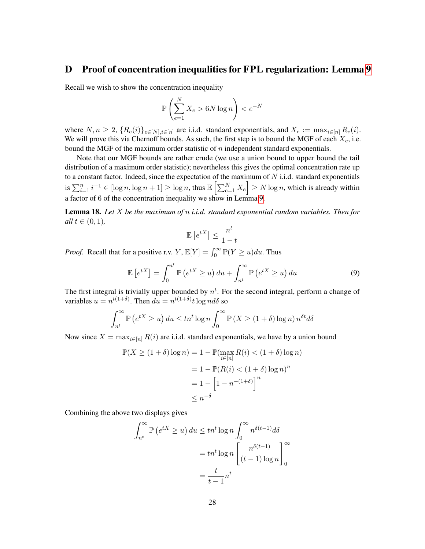# <span id="page-27-0"></span>D Proof of concentration inequalities for FPL regularization: Lemma [9](#page-13-1)

Recall we wish to show the concentration inequality

$$
\mathbb{P}\left(\sum_{e=1}^{N} X_e > 6N \log n\right) < e^{-N}
$$

where  $N, n \geq 2$ ,  $\{R_e(i)\}_{e \in [N], i \in [n]}$  are i.i.d. standard exponentials, and  $X_e := \max_{i \in [n]} R_e(i)$ . We will prove this via Chernoff bounds. As such, the first step is to bound the MGF of each  $X_e$ , i.e. bound the MGF of the maximum order statistic of  $n$  independent standard exponentials.

Note that our MGF bounds are rather crude (we use a union bound to upper bound the tail distribution of a maximum order statistic); nevertheless this gives the optimal concentration rate up to a constant factor. Indeed, since the expectation of the maximum of  $N$  i.i.d. standard exponentials is  $\sum_{i=1}^n i^{-1} \in [\log n, \log n + 1] \ge \log n$ , thus  $\mathbb{E} \left[ \sum_{e=1}^N X_e \right] \ge N \log n$ , which is already within a factor of 6 of the concentration inequality we show in Lemma [9.](#page-13-1)

<span id="page-27-2"></span>Lemma 18. *Let* X *be the maximum of* n *i.i.d. standard exponential random variables. Then for all*  $t \in (0, 1)$ *,* 

<span id="page-27-1"></span>
$$
\mathbb{E}\left[e^{tX}\right] \leq \frac{n^t}{1-t}
$$

*Proof.* Recall that for a positive r.v.  $Y$ ,  $\mathbb{E}[Y] = \int_0^\infty \mathbb{P}(Y \ge u) du$ . Thus

$$
\mathbb{E}\left[e^{tX}\right] = \int_0^{n^t} \mathbb{P}\left(e^{tX} \ge u\right) du + \int_{n^t}^{\infty} \mathbb{P}\left(e^{tX} \ge u\right) du \tag{9}
$$

The first integral is trivially upper bounded by  $n<sup>t</sup>$ . For the second integral, perform a change of variables  $u = n^{t(1+\delta)}$ . Then  $du = n^{t(1+\delta)}t \log n d\delta$  so

$$
\int_{n^t}^{\infty} \mathbb{P}\left(e^{tX} \ge u\right) du \le tn^t \log n \int_0^{\infty} \mathbb{P}\left(X \ge (1+\delta) \log n\right) n^{\delta t} d\delta
$$

Now since  $X = \max_{i \in [n]} R(i)$  are i.i.d. standard exponentials, we have by a union bound

$$
\mathbb{P}(X \ge (1+\delta)\log n) = 1 - \mathbb{P}(\max_{i \in [n]} R(i) < (1+\delta)\log n)
$$
\n
$$
= 1 - \mathbb{P}(R(i) < (1+\delta)\log n)^n
$$
\n
$$
= 1 - \left[1 - n^{-(1+\delta)}\right]^n
$$
\n
$$
\le n^{-\delta}
$$

Combining the above two displays gives

$$
\int_{n^t}^{\infty} \mathbb{P}\left(e^{tX} \ge u\right) du \le \operatorname{tn}^t \log n \int_0^{\infty} n^{\delta(t-1)} d\delta
$$

$$
= \operatorname{tn}^t \log n \left[\frac{n^{\delta(t-1)}}{(t-1)\log n}\right]_0^{\infty}
$$

$$
= \frac{t}{t-1} n^t
$$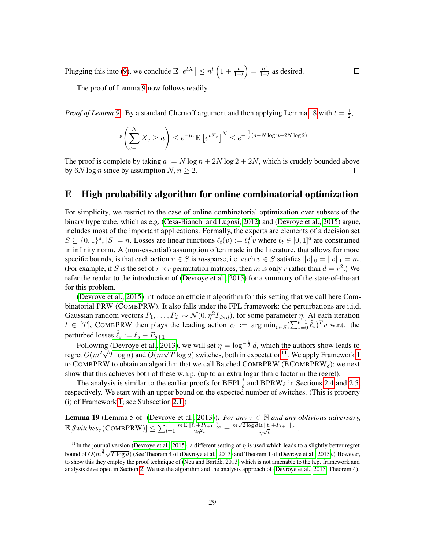Plugging this into [\(9\)](#page-27-1), we conclude  $\mathbb{E}\left[e^{tX}\right] \leq n^t \left(1 + \frac{t}{1-t}\right) = \frac{n^t}{1-t}$  $\frac{n^{\nu}}{1-t}$  as desired.

The proof of Lemma [9](#page-13-1) now follows readily.

*Proof of Lemma* [9.](#page-13-1) By a standard Chernoff argument and then applying Lemma [18](#page-27-2) with  $t = \frac{1}{2}$  $\frac{1}{2}$ ,

 $\Box$ 

$$
\mathbb{P}\left(\sum_{e=1}^{N} X_e \ge a\right) \le e^{-ta} \mathbb{E}\left[e^{tX_e}\right]^N \le e^{-\frac{1}{2}(a-N\log n - 2N\log 2)}
$$

The proof is complete by taking  $a := N \log n + 2N \log 2 + 2N$ , which is crudely bounded above by 6N log *n* since by assumption  $N, n \geq 2$ .  $\Box$ 

# <span id="page-28-0"></span>E High probability algorithm for online combinatorial optimization

For simplicity, we restrict to the case of online combinatorial optimization over subsets of the binary hypercube, which as e.g. [\(Cesa-Bianchi and Lugosi, 2012\)](#page-22-8) and [\(Devroye et al., 2015\)](#page-23-0) argue, includes most of the important applications. Formally, the experts are elements of a decision set  $S \subseteq \{0,1\}^d$ ,  $|S| = n$ . Losses are linear functions  $\ell_t(v) := \ell_t^T v$  where  $\ell_t \in [0,1]^d$  are constrained in infinity norm. A (non-essential) assumption often made in the literature, that allows for more specific bounds, is that each action  $v \in S$  is m-sparse, i.e. each  $v \in S$  satisfies  $||v||_0 = ||v||_1 = m$ . (For example, if S is the set of  $r \times r$  permutation matrices, then m is only r rather than  $d = r^2$ .) We refer the reader to the introduction of [\(Devroye et al., 2015\)](#page-23-0) for a summary of the state-of-the-art for this problem.

[\(Devroye et al., 2015\)](#page-23-0) introduce an efficient algorithm for this setting that we call here Combinatorial PRW (COMBPRW). It also falls under the FPL framework: the perturbations are i.i.d. Gaussian random vectors  $P_1, \ldots, P_T \sim \mathcal{N}(0, \eta^2 I_{d \times d})$ , for some parameter  $\eta$ . At each iteration  $t \in [T]$ , COMBPRW then plays the leading action  $v_t := \arg \min_{v \in S} (\sum_{s=0}^{t-1} \hat{\ell}_s)^T v$  w.r.t. the perturbed losses  $\ell_s := \ell_s + P_{s+1}$ .

Following [\(Devroye et al., 2013\)](#page-23-15), we will set  $\eta = \log^{-\frac{1}{2}} d$ , which the authors show leads to regret  $O(m^2\sqrt{T}\log d)$  and  $O(m\sqrt{T}\log d)$  switches, both in expectation<sup>[11](#page-28-1)</sup>. We apply Framework [1](#page-8-1) to COMBPRW to obtain an algorithm that we call Batched COMBPRW (BCOMBPRW $_{\delta}$ ); we next show that this achieves both of these w.h.p. (up to an extra logarithmic factor in the regret).

The analysis is similar to the earlier proofs for  $BFPL^*_{\delta}$  and  $BPRW_{\delta}$  in Sections [2.4](#page-12-0) and [2.5,](#page-13-0) respectively. We start with an upper bound on the expected number of switches. (This is property (i) of Framework [1;](#page-8-1) see Subsection [2.1.](#page-8-0))

**Lemma 19** (Lemma 5 of [\(Devroye et al., 2013\)](#page-23-15)). *For any*  $\tau \in \mathbb{N}$  *and any oblivious adversary*, E[*Switches<sub>T</sub>*(COMBPRW)]  $\leq \sum_{t=1}^{\tau} \frac{m \mathbb{E} \| \ell_t + P_{t+1} \|_\infty^2}{2\eta^2 t} + \frac{m\sqrt{2 \log d} \mathbb{E} \| \ell_t + P_{t+1} \|_\infty}{\eta \sqrt{t}}$  $\frac{\ln \|\ell_t + \Gamma_{t+1}\|_{\infty}}{\eta \sqrt{t}}$ .

<span id="page-28-1"></span><sup>&</sup>lt;sup>11</sup>In the journal version [\(Devroye et al., 2015\)](#page-23-0), a different setting of  $\eta$  is used which leads to a slightly better regret bound of  $O(m^{\frac{3}{2}}\sqrt{T \log d})$  (See Theorem 4 of [\(Devroye et al., 2013\)](#page-23-15) and Theorem 1 of [\(Devroye et al., 2015\)](#page-23-0).) However, to show this they employ the proof technique of (Neu and Bartók, 2013) which is not amenable to the h.p. framework and analysis developed in Section [2.](#page-7-0) We use the algorithm and the analysis approach of [\(Devroye et al., 2013,](#page-23-15) Theorem 4).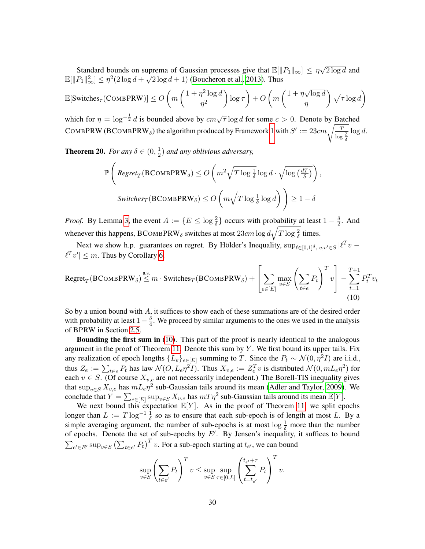Standard bounds on suprema of Gaussian processes give that  $\mathbb{E}[\Vert P_1 \Vert_{\infty}] \leq \eta \sqrt{\frac{\eta}{\eta}}$ uprema of Gaussian processes give that  $\mathbb{E}[\Vert P_1 \Vert_{\infty}] \leq \eta \sqrt{2 \log d}$  and  $\mathbb{E}[\|P_1\|_{\infty}^2] \leq \eta^2(2\log d + \sqrt{2\log d} + 1)$  [\(Boucheron et al., 2013\)](#page-22-13). Thus

$$
\mathbb{E}[\text{Switches}_{\tau}(\text{COMBPRW})] \le O\left(m\left(\frac{1+\eta^2\log d}{\eta^2}\right)\log \tau\right) + O\left(m\left(\frac{1+\eta\sqrt{\log d}}{\eta}\right)\sqrt{\tau \log d}\right)
$$

which for  $\eta = \log^{-\frac{1}{2}} d$  is bounded above by  $cm\sqrt{\tau} \log d$  for some  $c > 0$ . Denote by Batched COMBPRW (BCOMBPRW<sub>δ</sub>) the algorithm produced by Framework [1](#page-8-1) with  $S' := 23 cm \sqrt{\frac{T}{\log{\frac{2}{\delta}}}$  $\log d$ .

**Theorem 20.** For any  $\delta \in (0, \frac{1}{2})$  $\frac{1}{2}$ ) and any oblivious adversary,

<span id="page-29-0"></span>
$$
\mathbb{P}\left(\text{Regret}_{T}(\text{BCOMBPRW}_{\delta}) \le O\left(m^{2}\sqrt{T\log{\frac{1}{\delta}}}\log d \cdot \sqrt{\log(\frac{dT}{\delta})}\right),\right)
$$
  
Switches<sub>T</sub>(BCOMBPRW<sub>\delta</sub>)  $\le O\left(m\sqrt{T\log{\frac{1}{\delta}}}\log d\right)\right) \ge 1-\delta$ 

*Proof.* By Lemma [3,](#page-9-2) the event  $A := \{E \le \log \frac{2}{\delta}\}\)$  occurs with probability at least  $1 - \frac{\delta}{2}$  $\frac{\delta}{2}$ . And whenever this happens, BCOMBPRW<sub> $\delta$ </sub> switches at most  $23cm \log d \sqrt{T \log \frac{2}{\delta}}$  times.

Next we show h.p. guarantees on regret. By Hölder's Inequality,  $\sup_{\ell \in [0,1]^d, v,v' \in S} |\ell^T v \ell^T v' \leq m$ . Thus by Corollary [6,](#page-12-5)

$$
\text{Regret}_{T}(\text{BCOMBPRW}_{\delta}) \stackrel{\text{a.s.}}{\leq} m \cdot \text{Switches}_{T}(\text{BCOMBPRW}_{\delta}) + \left[ \sum_{e \in [E]} \max_{v \in S} \left( \sum_{t \in e} P_{t} \right)^{T} v \right] - \sum_{t=1}^{T+1} P_{t}^{T} v_{t}
$$
\n(10)

So by a union bound with  $A$ , it suffices to show each of these summations are of the desired order with probability at least  $1 - \frac{\delta}{4}$  $\frac{0}{4}$ . We proceed by similar arguments to the ones we used in the analysis of BPRW in Section [2.5.](#page-13-0)

**Bounding the first sum in** [\(10\)](#page-29-0). This part of the proof is nearly identical to the analogous argument in the proof of Theorem [11.](#page-14-3) Denote this sum by  $Y$ . We first bound its upper tails. Fix any realization of epoch lengths  $\{L_e\}_{e \in [E]}$  summing to T. Since the  $P_t \sim \mathcal{N}(0, \eta^2 I)$  are i.i.d., thus  $Z_e := \sum_{t \in e} P_t$  has law  $\mathcal{N}(O, L_e \eta^2 I)$ . Thus  $X_{v,e} := Z_e^T v$  is distributed  $\mathcal{N}(0, mL_e \eta^2)$  for each  $v \in S$ . (Of course  $X_{v,e}$  are not necessarily independent.) The Borell-TIS inequality gives that  $\sup_{v \in S} X_{v,e}$  has  $mL_e \eta^2$  sub-Gaussian tails around its mean [\(Adler and Taylor, 2009\)](#page-22-14). We conclude that  $Y = \sum_{e \in [E]} \sup_{v \in S} X_{v,e}$  has  $mT\eta^2$  sub-Gaussian tails around its mean  $\mathbb{E}[Y]$ .

We next bound this expectation  $\mathbb{E}[Y]$ . As in the proof of Theorem [11,](#page-14-3) we split epochs longer than  $L := T \log^{-1} \frac{1}{\delta}$  so as to ensure that each sub-epoch is of length at most L. By a simple averaging argument, the number of sub-epochs is at most  $\log \frac{1}{\delta}$  more than the number of epochs. Denote the set of sub-epochs by  $E'$ . By Jensen's inequality, it suffices to bound  $\sum_{e' \in E'} \sup_{v \in S} (\sum_{t \in e'} P_t)^T v$ . For a sub-epoch starting at  $t_{e'}$ , we can bound

$$
\sup_{v \in S} \left(\sum_{t \in e'} P_t\right)^T v \le \sup_{v \in S} \sup_{\tau \in [0,L]} \left(\sum_{t=t_{e'}}^{t_{e'} + \tau} P_t\right)^T v.
$$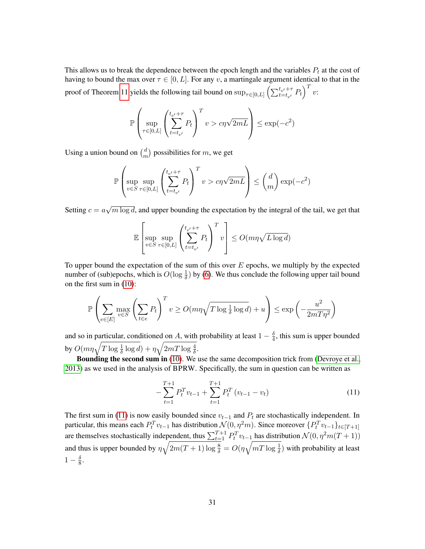This allows us to break the dependence between the epoch length and the variables  $P_t$  at the cost of having to bound the max over  $\tau \in [0, L]$ . For any v, a martingale argument identical to that in the proof of Theorem [11](#page-14-3) yields the following tail bound on  $\sup_{\tau \in [0,L]} \left( \sum_{t=t_{e'}}^{t_{e'}+\tau} P_t \right)^T v$ :

$$
\mathbb{P}\left(\sup_{\tau \in [0,L]} \left(\sum_{t=t_{\epsilon'}}^{t_{\epsilon'}+\tau} P_t\right)^T v > c\eta\sqrt{2mL}\right) \le \exp(-c^2)
$$

Using a union bound on  $\binom{d}{n}$  $\binom{d}{m}$  possibilities for m, we get

$$
\mathbb{P}\left(\sup_{v\in S}\sup_{\tau\in[0,L]}\left(\sum_{t=t_{e'}}^{t_{e'}+\tau}P_t\right)^Tv > c\eta\sqrt{2mL}\right) \le \binom{d}{m}\exp(-c^2)
$$

Setting  $c = a$ √  $\overline{m \log d}$ , and upper bounding the expectation by the integral of the tail, we get that

$$
\mathbb{E}\left[\sup_{v\in S}\sup_{\tau\in[0,L]}\left(\sum_{t=t_{e'}}^{t_{e'}+\tau}P_t\right)^Tv\right]\leq O(m\eta\sqrt{L\log d})
$$

To upper bound the expectation of the sum of this over  $E$  epochs, we multiply by the expected number of (sub)epochs, which is  $O(\log \frac{1}{\delta})$  by [\(6\)](#page-15-2). We thus conclude the following upper tail bound on the first sum in [\(10\)](#page-29-0):

$$
\mathbb{P}\left(\sum_{e \in [E]} \max_{v \in S} \left(\sum_{t \in e} P_t\right)^T v \ge O(m\eta\sqrt{T \log \frac{1}{\delta} \log d}) + u\right) \le \exp\left(-\frac{u^2}{2mT\eta^2}\right)
$$

and so in particular, conditioned on A, with probability at least  $1 - \frac{\delta}{4}$  $\frac{0}{4}$ , this sum is upper bounded by  $O(m\eta\sqrt{T\log{\frac{1}{\delta}}\log{d}})+\eta\sqrt{2mT\log{\frac{4}{\delta}}}.$ 

Bounding the second sum in [\(10\)](#page-29-0). We use the same decomposition trick from [\(Devroye et al.,](#page-23-15) [2013\)](#page-23-15) as we used in the analysis of BPRW. Specifically, the sum in question can be written as

<span id="page-30-0"></span>
$$
-\sum_{t=1}^{T+1} P_t^T v_{t-1} + \sum_{t=1}^{T+1} P_t^T (v_{t-1} - v_t)
$$
\n(11)

The first sum in [\(11\)](#page-30-0) is now easily bounded since  $v_{t-1}$  and  $P_t$  are stochastically independent. In particular, this means each  $P_t^T v_{t-1}$  has distribution  $\mathcal{N}(0, \eta^2 m)$ . Since moreover  $\{P_t^T v_{t-1}\}_{t \in [T+1]}$ are themselves stochastically independent, thus  $\sum_{t=1}^{T+1} P_t^T v_{t-1}$  has distribution  $\mathcal{N}(0, \eta^2 m(T+1))$ and thus is upper bounded by  $\eta\sqrt{2m(T+1)\log{\frac{8}{\delta}}} = O(\eta\sqrt{mT\log{\frac{1}{\delta}}})$  with probability at least  $1-\frac{\delta}{8}$  $\frac{\delta}{8}$ .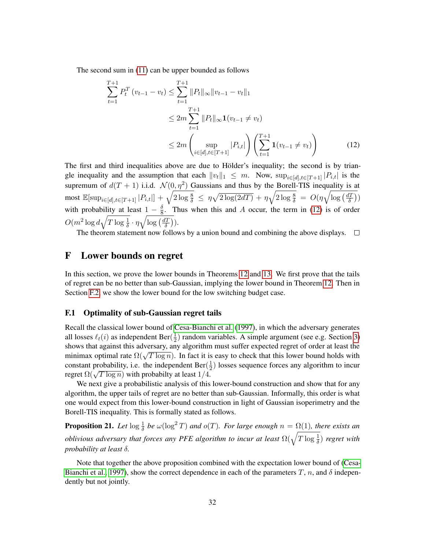The second sum in [\(11\)](#page-30-0) can be upper bounded as follows

<span id="page-31-2"></span>
$$
\sum_{t=1}^{T+1} P_t^T (v_{t-1} - v_t) \le \sum_{t=1}^{T+1} \|P_t\|_{\infty} \|v_{t-1} - v_t\|_1
$$
  
\n
$$
\le 2m \sum_{t=1}^{T+1} \|P_t\|_{\infty} \mathbf{1}(v_{t-1} \ne v_t)
$$
  
\n
$$
\le 2m \left( \sup_{i \in [d], t \in [T+1]} |P_{i,t}| \right) \left( \sum_{t=1}^{T+1} \mathbf{1}(v_{t-1} \ne v_t) \right)
$$
(12)

The first and third inequalities above are due to Hölder's inequality; the second is by triangle inequality and the assumption that each  $||v_t||_1 \leq m$ . Now,  $\sup_{i \in [d], t \in [T + 1]} |P_{i,t}|$  is the supremum of  $d(T + 1)$  i.i.d.  $\mathcal{N}(0, \eta^2)$  Gaussians and thus by the Borell-TIS inequality is at most  $\mathbb{E}[\sup_{i\in[d],t\in[T+1]}|P_{i,t}|] + \sqrt{2\log{\frac{8}{\delta}}} \leq \eta\sqrt{2\log(2dT)} + \eta\sqrt{2\log{\frac{8}{\delta}}} = O(\eta\sqrt{\log{(\frac{dT}{\delta})}})$  $\left(\frac{lT}{\delta}\right))$ with probability at least  $1 - \frac{\delta}{8}$  $\frac{8}{8}$ . Thus when this and A occur, the term in [\(12\)](#page-31-2) is of order  $O(m^2\log d\sqrt{T\log\frac{1}{\delta}}\cdot\eta\sqrt{\log\left(\frac{dT}{\delta}\right)}$  $\frac{lT}{\delta})).$ 

The theorem statement now follows by a union bound and combining the above displays.  $\Box$ 

# <span id="page-31-0"></span>F Lower bounds on regret

In this section, we prove the lower bounds in Theorems [12](#page-16-1) and [13.](#page-16-2) We first prove that the tails of regret can be no better than sub-Gaussian, implying the lower bound in Theorem [12.](#page-16-1) Then in Section [F.2,](#page-33-0) we show the lower bound for the low switching budget case.

### <span id="page-31-1"></span>F.1 Optimality of sub-Gaussian regret tails

Recall the classical lower bound of [Cesa-Bianchi et al.](#page-22-2) [\(1997\)](#page-22-2), in which the adversary generates all losses  $\ell_t(i)$  as independent Ber( $\frac{1}{2}$ )  $\frac{1}{2}$ ) random variables. A simple argument (see e.g. Section [3\)](#page-16-0) shows that against this adversary, any algorithm must suffer expected regret of order at least the shows that against this adversary, any argorithm must surfer expected regret of order at least the minimax optimal rate  $\Omega(\sqrt{T \log n})$ . In fact it is easy to check that this lower bound holds with constant probability, i.e. the independent Ber( $\frac{1}{2}$ )  $\frac{1}{2}$ ) losses sequence forces any algorithm to incur regret  $\Omega(\sqrt{T \log n})$  with probabilty at least 1/4.

We next give a probabilistic analysis of this lower-bound construction and show that for any algorithm, the upper tails of regret are no better than sub-Gaussian. Informally, this order is what one would expect from this lower-bound construction in light of Gaussian isoperimetry and the Borell-TIS inequality. This is formally stated as follows.

<span id="page-31-3"></span>**Proposition 21.** Let  $\log \frac{1}{\delta}$  be  $\omega(\log^2 T)$  and  $o(T)$ . For large enough  $n = \Omega(1)$ , there exists an *oblivious adversary that forces any PFE algorithm to incur at least*  $\Omega(\sqrt{T \log \frac{1}{\delta}})$  *regret with probability at least* δ*.*

Note that together the above proposition combined with the expectation lower bound of [\(Cesa-](#page-22-2)[Bianchi et al., 1997\)](#page-22-2), show the correct dependence in each of the parameters T, n, and  $\delta$  independently but not jointly.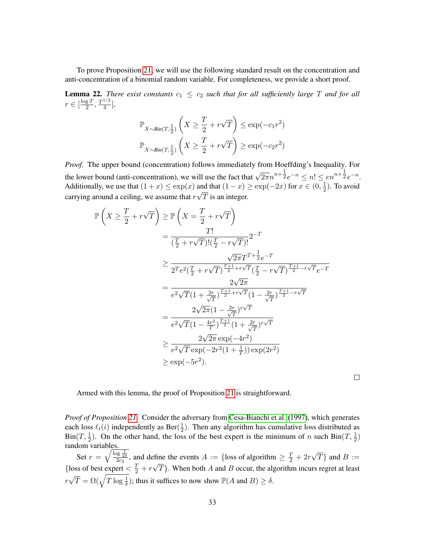To prove Proposition [21,](#page-31-3) we will use the following standard result on the concentration and anti-concentration of a binomial random variable. For completeness, we provide a short proof.

<span id="page-32-0"></span>**Lemma 22.** *There exist constants*  $c_1 \leq c_2$  *such that for all sufficiently large* T *and for all*  $r \in \lceil \frac{\log T}{2} \rceil$  $\frac{1}{2}$ ,  $\frac{T^{1/2}}{4}$  $\frac{1}{4}$ ,

$$
\mathbb{P}_{X \sim Bin(T, \frac{1}{2})} \left( X \ge \frac{T}{2} + r\sqrt{T} \right) \le \exp(-c_1 r^2)
$$
  

$$
\mathbb{P}_{X \sim Bin(T, \frac{1}{2})} \left( X \ge \frac{T}{2} + r\sqrt{T} \right) \ge \exp(-c_2 r^2)
$$

*Proof.* The upper bound (concentration) follows immediately from Hoeffding's Inequality. For the lower bound (anti-concentration), we will use the fact that  $\sqrt{2\pi}n^{n+\frac{1}{2}}e^{-n} \le n! \le en^{n+\frac{1}{2}}e^{-n}$ . Additionally, we use that  $(1+x) \le \exp(x)$  and that  $(1-x) \ge \exp(-2x)$  for  $x \in (0, \frac{1}{2})$ and that  $(1-x) \ge \exp(-2x)$  for  $x \in (0, \frac{1}{2})$ . To avoid carrying around a ceiling, we assume that  $r\sqrt{T}$  is an integer.

$$
\mathbb{P}\left(X \geq \frac{T}{2} + r\sqrt{T}\right) \geq \mathbb{P}\left(X = \frac{T}{2} + r\sqrt{T}\right)
$$
\n
$$
= \frac{T!}{(\frac{T}{2} + r\sqrt{T})!(\frac{T}{2} - r\sqrt{T})!} 2^{-T}
$$
\n
$$
\geq \frac{\sqrt{2\pi}T^{T+\frac{1}{2}}e^{-T}}{2^{T}e^{2}(\frac{T}{2} + r\sqrt{T})^{\frac{T+1}{2} + r\sqrt{T}}(\frac{T}{2} - r\sqrt{T})^{\frac{T+1}{2} - r\sqrt{T}}e^{-T}}
$$
\n
$$
= \frac{2\sqrt{2\pi}}{e^{2}\sqrt{T}(1 + \frac{2r}{\sqrt{T}})^{\frac{T+1}{2} + r\sqrt{T}}(1 - \frac{2r}{\sqrt{T}})^{\frac{T+1}{2} - r\sqrt{T}}}
$$
\n
$$
= \frac{2\sqrt{2\pi}(1 - \frac{2r}{\sqrt{T}})^{r\sqrt{T}}}{e^{2}\sqrt{T}(1 - \frac{4r^{2}}{T})^{\frac{T+1}{2}}(1 + \frac{2r}{\sqrt{T}})^{r\sqrt{T}}}
$$
\n
$$
\geq \frac{2\sqrt{2\pi}\exp(-4r^{2})}{e^{2}\sqrt{T}\exp(-2r^{2}(1 + \frac{1}{T}))\exp(2r^{2})}
$$
\n
$$
\geq \exp(-5r^{2}).
$$

Armed with this lemma, the proof of Proposition [21](#page-31-3) is straightforward.

*Proof of Proposition [21.](#page-31-3)* Consider the adversary from [Cesa-Bianchi et al.](#page-22-2) [\(1997\)](#page-22-2), which generates each loss  $\ell_t(i)$  independently as Ber( $\frac{1}{2}$ )  $\frac{1}{2}$ ). Then any algorithm has cumulative loss distributed as Bin(T,  $\frac{1}{2}$ ). On the other hand, the loss of the best expert is the minimum of n such Bin(T,  $\frac{1}{2}$ ) random variables. √

 $\Box$ 

Set  $r = \sqrt{\frac{\log \frac{1}{2\delta}}{2c_2}}$ , and define the events  $A := \{\text{loss of algorithm} \geq \frac{T}{2} + 2r\}$  $T$ } and  $B :=$ {loss of best expert  $\frac{T}{2} + r$ √  $T$ . When both A and B occur, the algorithm incurs regret at least  $r\sqrt{T} = \Omega(\sqrt{T\log{\frac{1}{\delta}}})$ ; thus it suffices to now show  $\mathbb{P}(A \text{ and } B) \ge \delta$ . √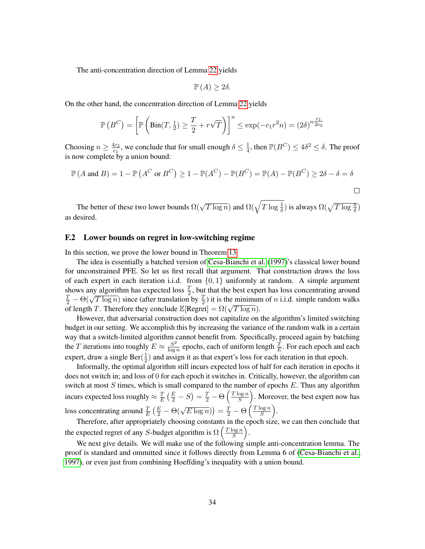The anti-concentration direction of Lemma [22](#page-32-0) yields

$$
\mathbb{P}\left(A\right) \geq 2\delta.
$$

On the other hand, the concentration direction of Lemma [22](#page-32-0) yields

$$
\mathbb{P}\left(B^C\right) = \left[\mathbb{P}\left(\text{Bin}(T, \frac{1}{2}) \ge \frac{T}{2} + r\sqrt{T}\right)\right]^n \le \exp(-c_1 r^2 n) = (2\delta)^{n \frac{c_1}{2c_2}}
$$

Choosing  $n \geq \frac{4c_2}{c_1}$  $\frac{4c_2}{c_1}$ , we conclude that for small enough  $\delta \leq \frac{1}{4}$  $\frac{1}{4}$ , then  $\mathbb{P}(B^C) \le 4\delta^2 \le \delta$ . The proof is now complete by a union bound:

$$
\mathbb{P}(A \text{ and } B) = 1 - \mathbb{P}(A^C \text{ or } B^C) \ge 1 - \mathbb{P}(A^C) - \mathbb{P}(B^C) = \mathbb{P}(A) - \mathbb{P}(B^C) \ge 2\delta - \delta = \delta
$$

The better of these two lower bounds  $\Omega(\sqrt{T \log n})$  and  $\Omega(\sqrt{T \log \frac{1}{\delta}})$  is always  $\Omega(\sqrt{T \log \frac{n}{\delta}})$ as desired.

### <span id="page-33-0"></span>F.2 Lower bounds on regret in low-switching regime

In this section, we prove the lower bound in Theorem [13.](#page-16-2)

The idea is essentially a batched version of [Cesa-Bianchi et al.](#page-22-2) [\(1997\)](#page-22-2)'s classical lower bound for unconstrained PFE. So let us first recall that argument. That construction draws the loss of each expert in each iteration i.i.d. from  $\{0, 1\}$  uniformly at random. A simple argument shows any algorithm has expected loss  $\frac{T}{2}$ , but that the best expert has loss concentrating around shows any argorithm has expected loss  $\frac{1}{2}$ , but that the best expert has loss concentrating around  $\frac{T}{2} - \Theta(\sqrt{T \log n})$  since (after translation by  $\frac{T}{2}$ ) it is the minimum of *n* i.i.d. simple random walks  $\frac{\pi}{2} - \Theta(\sqrt{T} \log n)$  since (after transfation by  $\frac{\pi}{2}$ ) it is the minimum<br>of length T. Therefore they conclude  $\mathbb{E}[\text{Regret}] = \Omega(\sqrt{T \log n})$ .

However, that adversarial construction does not capitalize on the algorithm's limited switching budget in our setting. We accomplish this by increasing the variance of the random walk in a certain way that a switch-limited algorithm cannot benefit from. Specifically, proceed again by batching the T iterations into roughly  $E \approx \frac{S^2}{\log S}$  $\frac{S^2}{\log n}$  epochs, each of uniform length  $\frac{T}{E}$ . For each epoch and each expert, draw a single Ber( $\frac{1}{2}$ )  $\frac{1}{2}$ ) and assign it as that expert's loss for each iteration in that epoch.

Informally, the optimal algorithm still incurs expected loss of half for each iteration in epochs it does not switch in; and loss of 0 for each epoch it switches in. Critically, however, the algorithm can switch at most  $S$  times, which is small compared to the number of epochs  $E$ . Thus any algorithm incurs expected loss roughly  $\approx \frac{T}{R}$  $\frac{T}{E}\left(\frac{E}{2}-S\right)=\frac{T}{2}-\Theta\left(\frac{T\log n}{S}\right)$  $\frac{\log n}{S}$ ). Moreover, the best expert now has loss concentrating around  $\frac{T}{E} \left( \frac{E}{2} - \Theta(\sqrt{E \log n}) \right) = \frac{T}{2} - \Theta \left( \frac{T \log n}{S} \right)$  $\frac{\log n}{S}$ .

Therefore, after appropriately choosing constants in the epoch size, we can then conclude that the expected regret of any S-budget algorithm is  $\Omega\left(\frac{T\log n}{S}\right)$  $\frac{\log n}{S}$ .

We next give details. We will make use of the following simple anti-concentration lemma. The proof is standard and ommitted since it follows directly from Lemma 6 of [\(Cesa-Bianchi et al.,](#page-22-2) [1997\)](#page-22-2), or even just from combining Hoeffding's inequality with a union bound.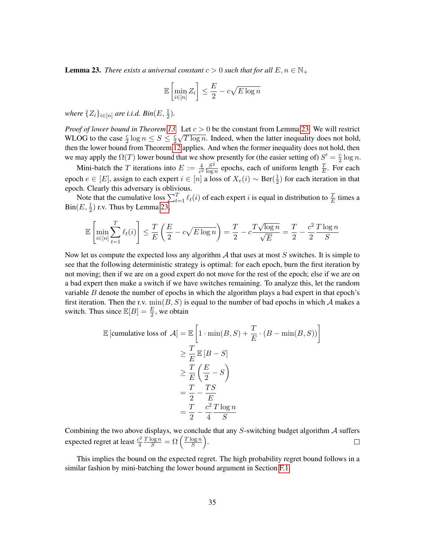<span id="page-34-0"></span>**Lemma 23.** *There exists a universal constant*  $c > 0$  *such that for all*  $E, n \in \mathbb{N}_+$ 

$$
\mathbb{E}\left[\min_{i\in[n]} Z_i\right] \le \frac{E}{2} - c\sqrt{E\log n}
$$

where  $\{Z_i\}_{i\in [n]}$  are i.i.d.  $\mathcal{B}in(E,\frac{1}{2})$ .

*Proof of lower bound in Theorem [13.](#page-16-2)* Let  $c > 0$  be the constant from Lemma [23.](#page-34-0) We will restrict WLOG to the case  $\frac{c}{2} \log n \leq S \leq \frac{c}{2}$  $\frac{c}{2}\sqrt{T \log n}$ . Indeed, when the latter inequality does not hold, then the lower bound from Theorem [12](#page-16-1) applies. And when the former inequality does not hold, then we may apply the  $\Omega(T)$  lower bound that we show presently for (the easier setting of)  $S' = \frac{c}{2}$  $rac{c}{2} \log n$ .

Mini-batch the T iterations into  $E := \frac{4}{c^2} \frac{S^2}{\log c}$  $\frac{S^2}{\log n}$  epochs, each of uniform length  $\frac{T}{E}$ . For each epoch  $e \in [E]$ , assign to each expert  $i \in [n]$  a loss of  $X_e(i) \sim \text{Ber}(\frac{1}{2})$  $(\frac{1}{2})$  for each iteration in that epoch. Clearly this adversary is oblivious.

Note that the cumulative loss  $\sum_{t=1}^T \ell_t(i)$  of each expert i is equal in distribution to  $\frac{T}{E}$  times a  $\text{Bin}(E, \frac{1}{2})$  r.v. Thus by Lemma [23,](#page-34-0)

$$
\mathbb{E}\left[\min_{i\in[n]}\sum_{t=1}^{T}\ell_i(i)\right] \leq \frac{T}{E}\left(\frac{E}{2} - c\sqrt{E\log n}\right) = \frac{T}{2} - c\frac{T\sqrt{\log n}}{\sqrt{E}} = \frac{T}{2} - \frac{c^2 T \log n}{S}
$$

Now let us compute the expected loss any algorithm  $A$  that uses at most  $S$  switches. It is simple to see that the following deterministic strategy is optimal: for each epoch, burn the first iteration by not moving; then if we are on a good expert do not move for the rest of the epoch; else if we are on a bad expert then make a switch if we have switches remaining. To analyze this, let the random variable  $B$  denote the number of epochs in which the algorithm plays a bad expert in that epoch's first iteration. Then the r.v.  $min(B, S)$  is equal to the number of bad epochs in which A makes a switch. Thus since  $\mathbb{E}[B] = \frac{E}{2}$ , we obtain

$$
\mathbb{E} \left[ \text{cumulative loss of } \mathcal{A} \right] = \mathbb{E} \left[ 1 \cdot \min(B, S) + \frac{T}{E} \cdot (B - \min(B, S)) \right]
$$
  
\n
$$
\geq \frac{T}{E} \mathbb{E} \left[ B - S \right]
$$
  
\n
$$
\geq \frac{T}{E} \left( \frac{E}{2} - S \right)
$$
  
\n
$$
= \frac{T}{2} - \frac{TS}{E}
$$
  
\n
$$
= \frac{T}{2} - \frac{c^2 T \log n}{4}
$$

Combining the two above displays, we conclude that any  $S$ -switching budget algorithm  $A$  suffers  $\frac{T \log n}{S} = \Omega\left(\frac{T \log n}{S}\right)$  $\frac{\log n}{S}$ . expected regret at least  $\frac{c^2}{4}$  $\Box$ 4

This implies the bound on the expected regret. The high probability regret bound follows in a similar fashion by mini-batching the lower bound argument in Section [F.1.](#page-31-1)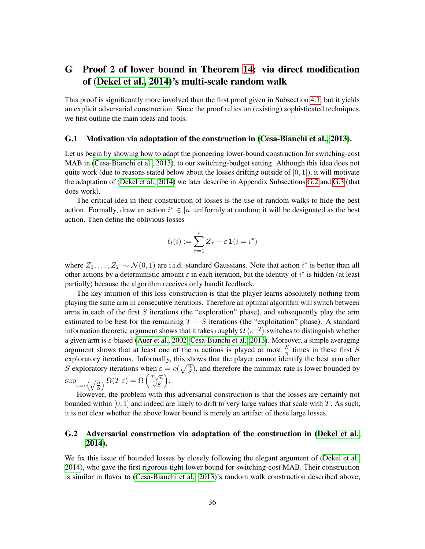# <span id="page-35-0"></span>G Proof 2 of lower bound in Theorem [14:](#page-18-1) via direct modification of [\(Dekel et al., 2014\)](#page-22-0)'s multi-scale random walk

This proof is significantly more involved than the first proof given in Subsection [4.1,](#page-19-0) but it yields an explicit adversarial construction. Since the proof relies on (existing) sophisticated techniques, we first outline the main ideas and tools.

#### <span id="page-35-1"></span>G.1 Motivation via adaptation of the construction in [\(Cesa-Bianchi et al., 2013\)](#page-22-1).

Let us begin by showing how to adapt the pioneering lower-bound construction for switching-cost MAB in [\(Cesa-Bianchi et al., 2013\)](#page-22-1), to our switching-budget setting. Although this idea does not quite work (due to reasons stated below about the losses drifting outside of  $[0, 1]$ ), it will motivate the adaptation of [\(Dekel et al., 2014\)](#page-22-0) we later describe in Appendix Subsections [G.2](#page-35-2) and [G.3](#page-37-0) (that does work).

The critical idea in their construction of losses is the use of random walks to hide the best action. Formally, draw an action  $i^* \in [n]$  uniformly at random; it will be designated as the best action. Then define the oblivious losses

$$
\ell_t(i) := \sum_{\tau=1}^t Z_{\tau} - \varepsilon \mathbf{1}(i = i^*)
$$

where  $Z_1, \ldots, Z_T \sim \mathcal{N}(0, 1)$  are i.i.d. standard Gaussians. Note that action i<sup>\*</sup> is better than all other actions by a deterministic amount  $\varepsilon$  in each iteration, but the identity of  $i^*$  is hidden (at least partially) because the algorithm receives only bandit feedback.

The key intuition of this loss construction is that the player learns absolutely nothing from playing the same arm in consecutive iterations. Therefore an optimal algorithm will switch between arms in each of the first  $S$  iterations (the "exploration" phase), and subsequently play the arm estimated to be best for the remaining  $T - S$  iterations (the "exploitation" phase). A standard information theoretic argument shows that it takes roughly  $\Omega(\varepsilon^{-2})$  switches to distinguish whether a given arm is  $\varepsilon$ -biased [\(Auer et al., 2002,](#page-22-4) [Cesa-Bianchi et al., 2013\)](#page-22-1). Moreover, a simple averaging argument shows that at least one of the *n* actions is played at most  $\frac{S}{n}$  times in these first *S* exploratory iterations. Informally, this shows that the player cannot identify the best arm after S exploratory iterations when  $\varepsilon = o(\sqrt{\frac{n}{S}})$ , and therefore the minimax rate is lower bounded by  $\sup_{\varepsilon=o\left(\sqrt{\frac{n}{S}}\right)} \Omega(T \varepsilon) = \Omega\left(\frac{T\sqrt{n}}{\sqrt{S}}\right)$ .

However, the problem with this adversarial construction is that the losses are certainly not bounded within  $[0, 1]$  and indeed are likely to drift to very large values that scale with T. As such, it is not clear whether the above lower bound is merely an artifact of these large losses.

### <span id="page-35-2"></span>G.2 Adversarial construction via adaptation of the construction in [\(Dekel et al.,](#page-22-0) [2014\)](#page-22-0).

We fix this issue of bounded losses by closely following the elegant argument of [\(Dekel et al.,](#page-22-0) [2014\)](#page-22-0), who gave the first rigorous tight lower bound for switching-cost MAB. Their construction is similar in flavor to [\(Cesa-Bianchi et al., 2013\)](#page-22-1)'s random walk construction described above;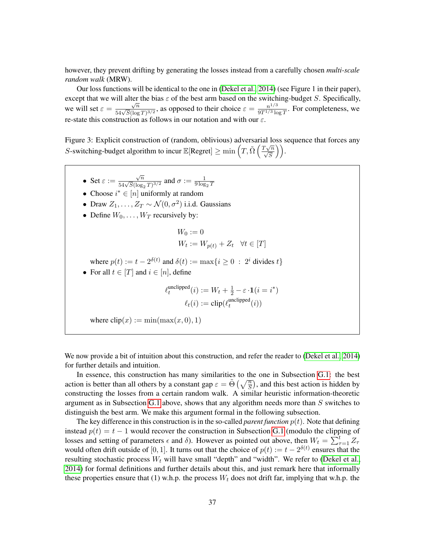however, they prevent drifting by generating the losses instead from a carefully chosen *multi-scale random walk* (MRW).

Our loss functions will be identical to the one in [\(Dekel et al., 2014\)](#page-22-0) (see Figure 1 in their paper), except that we will alter the bias  $\varepsilon$  of the best arm based on the switching-budget S. Specifically, we will set  $\varepsilon =$  $rac{\sqrt{n}}{54\sqrt{S}(\log T)^{3/2}}$ , as opposed to their choice  $\varepsilon = \frac{n^{1/3}}{9T^{1/3}\log T}$  $\frac{n^{1/3}}{9T^{1/3}\log T}$ . For completeness, we re-state this construction as follows in our notation and with our  $\varepsilon$ .

<span id="page-36-0"></span>Figure 3: Explicit construction of (random, oblivious) adversarial loss sequence that forces any S-switching-budget algorithm to incur  $\mathbb{E}[\text{Regret}] \ge \min\left(T, \tilde{\Omega}\left(\frac{T\sqrt{n}}{\sqrt{S}}\right)\right)$ .

• Set  $\varepsilon :=$  $\frac{\sqrt{n}}{54\sqrt{S}(\log_2 T)^{3/2}}$  and  $\sigma := \frac{1}{9\log_2 T}$ • Choose  $i^* \in [n]$  uniformly at random • Draw  $Z_1, \ldots, Z_T \sim \mathcal{N}(0, \sigma^2)$  i.i.d. Gaussians • Define  $W_0, \ldots, W_T$  recursively by:  $W_0 := 0$  $W_t := W_{p(t)} + Z_t \quad \forall t \in [T]$ where  $p(t) := t - 2^{\delta(t)}$  and  $\delta(t) := \max\{i \geq 0 : 2^i \text{ divides } t\}$ • For all  $t \in [T]$  and  $i \in [n]$ , define  $\ell_t^{\text{unclipped}}$  $\det_t^{\text{unclipped}}(i) := W_t + \frac{1}{2} - \varepsilon \cdot \mathbf{1}(i=i^*)$  $\ell_t(i) := \text{clip}(\ell_t^{\text{unclipped}})$  $_t^{\text{uncuppea}}(i))$ where  $\text{clip}(x) := \min(\max(x, 0), 1)$ 

We now provide a bit of intuition about this construction, and refer the reader to [\(Dekel et al., 2014\)](#page-22-0) for further details and intuition.

In essence, this construction has many similarities to the one in Subsection [G.1:](#page-35-1) the best action is better than all others by a constant gap  $\varepsilon = \tilde{\Theta}\left(\sqrt{\frac{n}{S}}\right)$ , and this best action is hidden by constructing the losses from a certain random walk. A similar heuristic information-theoretic argument as in Subsection [G.1](#page-35-1) above, shows that any algorithm needs more than  $S$  switches to distinguish the best arm. We make this argument formal in the following subsection.

The key difference in this construction is in the so-called *parent function*  $p(t)$ . Note that defining instead  $p(t) = t - 1$  would recover the construction in Subsection [G.1](#page-35-1) (modulo the clipping of losses and setting of parameters  $\epsilon$  and  $\delta$ ). However as pointed out above, then  $W_t = \sum_{\tau=1}^t Z_{\tau}$ would often drift outside of [0, 1]. It turns out that the choice of  $p(t) := t - 2^{\delta(t)}$  ensures that the resulting stochastic process  $W_t$  will have small "depth" and "width". We refer to [\(Dekel et al.,](#page-22-0) [2014\)](#page-22-0) for formal definitions and further details about this, and just remark here that informally these properties ensure that (1) w.h.p. the process  $W_t$  does not drift far, implying that w.h.p. the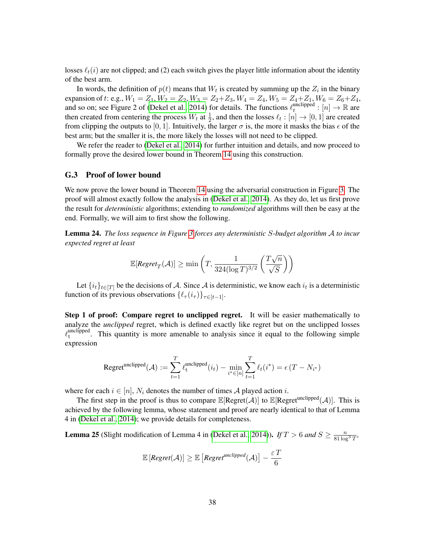losses  $\ell_t(i)$  are not clipped; and (2) each switch gives the player little information about the identity of the best arm.

In words, the definition of  $p(t)$  means that  $W_t$  is created by summing up the  $Z_i$  in the binary expansion of t: e.g.,  $W_1 = Z_1$ ,  $W_2 = Z_2$ ,  $W_3 = Z_2 + Z_3$ ,  $W_4 = Z_4$ ,  $W_5 = Z_4 + Z_1$ ,  $W_6 = Z_6 + Z_4$ , and so on; see Figure 2 of [\(Dekel et al., 2014\)](#page-22-0) for details. The functions  $\ell_t^{\text{unclipped}}$  $_{t}^{\text{unclipped}}: [n] \rightarrow \mathbb{R}$  are then created from centering the process  $W_t$  at  $\frac{1}{2}$ , and then the losses  $\ell_t : [n] \to [0, 1]$  are created from clipping the outputs to [0, 1]. Intuitively, the larger  $\sigma$  is, the more it masks the bias  $\epsilon$  of the best arm; but the smaller it is, the more likely the losses will not need to be clipped.

We refer the reader to [\(Dekel et al., 2014\)](#page-22-0) for further intuition and details, and now proceed to formally prove the desired lower bound in Theorem [14](#page-18-1) using this construction.

#### <span id="page-37-0"></span>G.3 Proof of lower bound

We now prove the lower bound in Theorem [14](#page-18-1) using the adversarial construction in Figure [3.](#page-36-0) The proof will almost exactly follow the analysis in [\(Dekel et al., 2014\)](#page-22-0). As they do, let us first prove the result for *deterministic* algorithms; extending to *randomized* algorithms will then be easy at the end. Formally, we will aim to first show the following.

<span id="page-37-1"></span>Lemma 24. *The loss sequence in Figure [3](#page-36-0) forces any deterministic* S*-budget algorithm* A *to incur expected regret at least*

$$
\mathbb{E}[\textit{Regret}_{T}(\mathcal{A})] \geq \min\left(T, \frac{1}{324(\log T)^{3/2}}\left(\frac{T\sqrt{n}}{\sqrt{S}}\right)\right)
$$

Let  $\{i_t\}_{t\in[T]}$  be the decisions of A. Since A is deterministic, we know each  $i_t$  is a deterministic function of its previous observations  $\{\ell_\tau(i_\tau)\}_{\tau \in [t-1]}.$ 

Step 1 of proof: Compare regret to unclipped regret. It will be easier mathematically to analyze the *unclipped* regret, which is defined exactly like regret but on the unclipped losses  $\ell_{\rm t}^{\rm unclipped}$  $t_t^{\text{uncup}}$ . This quantity is more amenable to analysis since it equal to the following simple expression

$$
\text{Regret}^{\text{unclipped}}(\mathcal{A}) := \sum_{t=1}^T \ell_t^{\text{unclipped}}(i_t) - \min_{i^* \in [n]} \sum_{t=1}^T \ell_t(i^*) = \epsilon(T - N_{i^*})
$$

where for each  $i \in [n]$ ,  $N_i$  denotes the number of times A played action i.

The first step in the proof is thus to compare  $\mathbb{E}[\text{Regret}(\mathcal{A})]$  to  $\mathbb{E}[\text{Regret}^{\text{unclipped}}(\mathcal{A})]$ . This is achieved by the following lemma, whose statement and proof are nearly identical to that of Lemma 4 in [\(Dekel et al., 2014\)](#page-22-0); we provide details for completeness.

<span id="page-37-2"></span>**Lemma 25** (Slight modification of Lemma 4 in [\(Dekel et al., 2014\)](#page-22-0)). *If*  $T > 6$  *and*  $S \ge \frac{n}{81 \log^3 T}$ ,

$$
\mathbb{E}\left[\textit{Regret}(\mathcal{A})\right] \geq \mathbb{E}\left[\textit{Regret}^{\textit{unclipped}}(\mathcal{A})\right] - \frac{\varepsilon T}{6}
$$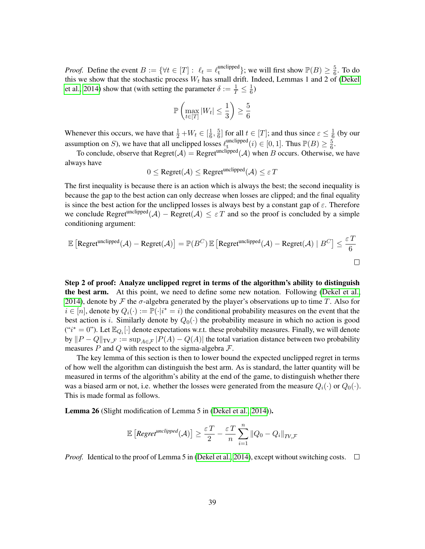*Proof.* Define the event  $B := \{ \forall t \in [T] : \ell_t = \ell_t^{\text{unclipped}} \}$  $_{\rm t}^{\rm unclipped}\};$  we will first show  ${\mathbb P}(B)\geq\frac{5}{6}$  $\frac{5}{6}$ . To do this we show that the stochastic process  $W_t$  has small drift. Indeed, Lemmas 1 and 2 of [\(Dekel](#page-22-0) [et al., 2014\)](#page-22-0) show that (with setting the parameter  $\delta := \frac{1}{T} \leq \frac{1}{6}$  $\frac{1}{6})$ 

$$
\mathbb{P}\left(\max_{t\in[T]} |W_t| \le \frac{1}{3}\right) \ge \frac{5}{6}
$$

Whenever this occurs, we have that  $\frac{1}{2} + W_t \in \left[\frac{1}{6}\right]$  $\frac{1}{6}, \frac{5}{6}$  $\frac{5}{6}$  for all  $t \in [T]$ ; and thus since  $\varepsilon \leq \frac{1}{6}$  $\frac{1}{6}$  (by our assumption on S), we have that all unclipped losses  $\ell_{\rm t}^{\rm unclipped}$  $_{\text{t}}^{\text{uncipped}}(i) \in [0,1]$ . Thus  $\mathbb{P}(B) \geq \frac{5}{6}$  $\frac{5}{6}$ .

To conclude, observe that Regret( $A$ ) = Regret<sup>unclipped</sup>( $A$ ) when B occurs. Otherwise, we have always have

$$
0 \leq \text{Regret}(\mathcal{A}) \leq \text{Regret}^{\text{unclipped}}(\mathcal{A}) \leq \varepsilon T
$$

The first inequality is because there is an action which is always the best; the second inequality is because the gap to the best action can only decrease when losses are clipped; and the final equality is since the best action for the unclipped losses is always best by a constant gap of  $\varepsilon$ . Therefore we conclude Regret<sup>unclipped</sup> $(A)$  – Regret $(A) \leq \varepsilon T$  and so the proof is concluded by a simple conditioning argument:

$$
\mathbb{E}\left[\text{Regret}^{\text{unclipped}}(\mathcal{A}) - \text{Regret}(\mathcal{A})\right] = \mathbb{P}(B^C) \mathbb{E}\left[\text{Regret}^{\text{unclipped}}(\mathcal{A}) - \text{Regret}(\mathcal{A}) \mid B^C\right] \le \frac{\varepsilon T}{6}
$$

Step 2 of proof: Analyze unclipped regret in terms of the algorithm's ability to distinguish the best arm. At this point, we need to define some new notation. Following [\(Dekel et al.,](#page-22-0) [2014\)](#page-22-0), denote by F the  $\sigma$ -algebra generated by the player's observations up to time T. Also for  $i \in [n]$ , denote by  $Q_i(\cdot) := \mathbb{P}(\cdot | i^* = i)$  the conditional probability measures on the event that the best action is i. Similarly denote by  $Q_0(\cdot)$  the probability measure in which no action is good  $("i^* = 0")$ . Let  $\mathbb{E}_{Q_i}[\cdot]$  denote expectations w.r.t. these probability measures. Finally, we will denote by  $||P - Q||_{TV,\mathcal{F}} := \sup_{A \in \mathcal{F}} |P(A) - Q(A)|$  the total variation distance between two probability measures  $P$  and  $Q$  with respect to the sigma-algebra  $\mathcal{F}$ .

The key lemma of this section is then to lower bound the expected unclipped regret in terms of how well the algorithm can distinguish the best arm. As is standard, the latter quantity will be measured in terms of the algorithm's ability at the end of the game, to distinguish whether there was a biased arm or not, i.e. whether the losses were generated from the measure  $Q_i(\cdot)$  or  $Q_0(\cdot)$ . This is made formal as follows.

<span id="page-38-0"></span>Lemma 26 (Slight modification of Lemma 5 in [\(Dekel et al., 2014\)](#page-22-0)).

$$
\mathbb{E}\left[\textit{Regret}^{\textit{unclipped}}(\mathcal{A})\right] \geq \frac{\varepsilon\,T}{2} - \frac{\varepsilon\,T}{n} \sum_{i=1}^{n} \|Q_0 - Q_i\|_{TV,\mathcal{F}}
$$

*Proof.* Identical to the proof of Lemma 5 in [\(Dekel et al., 2014\)](#page-22-0), except without switching costs.  $\Box$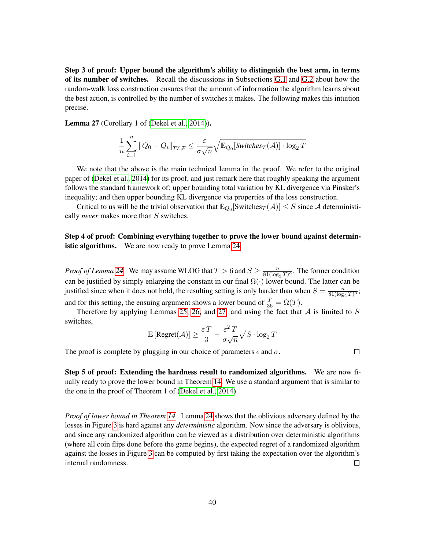Step 3 of proof: Upper bound the algorithm's ability to distinguish the best arm, in terms of its number of switches. Recall the discussions in Subsections [G.1](#page-35-1) and [G.2](#page-35-2) about how the random-walk loss construction ensures that the amount of information the algorithm learns about the best action, is controlled by the number of switches it makes. The following makes this intuition precise.

<span id="page-39-0"></span>Lemma 27 (Corollary 1 of [\(Dekel et al., 2014\)](#page-22-0)).

$$
\frac{1}{n}\sum_{i=1}^{n} \|Q_0 - Q_i\|_{TV, \mathcal{F}} \le \frac{\varepsilon}{\sigma\sqrt{n}}\sqrt{\mathbb{E}_{Q_0}[\textit{Switches}_T(\mathcal{A})] \cdot \log_2 T}
$$

We note that the above is the main technical lemma in the proof. We refer to the original paper of [\(Dekel et al., 2014\)](#page-22-0) for its proof, and just remark here that roughly speaking the argument follows the standard framework of: upper bounding total variation by KL divergence via Pinsker's inequality; and then upper bounding KL divergence via properties of the loss construction.

Critical to us will be the trivial observation that  $\mathbb{E}_{Q_0}$  [Switches $_T(\mathcal{A})$ ]  $\leq S$  since A deterministically *never* makes more than S switches.

Step 4 of proof: Combining everything together to prove the lower bound against determin-istic algorithms. We are now ready to prove Lemma [24.](#page-37-1)

*Proof of Lemma* [24.](#page-37-1) We may assume WLOG that  $T > 6$  and  $S \geq \frac{n}{81/\log n}$  $\frac{n}{81(\log_2 T)^3}$ . The former condition can be justified by simply enlarging the constant in our final  $\Omega(\cdot)$  lower bound. The latter can be justified since when it does not hold, the resulting setting is only harder than when  $S = \frac{n}{81/\text{log}}$  $\frac{n}{81(\log_2 T)^3}$ ; and for this setting, the ensuing argument shows a lower bound of  $\frac{T}{36} = \Omega(T)$ .

Therefore by applying Lemmas [25,](#page-37-2) [26,](#page-38-0) and [27,](#page-39-0) and using the fact that  $A$  is limited to  $S$ switches,

$$
\mathbb{E}\left[\text{Regret}(\mathcal{A})\right] \ge \frac{\varepsilon T}{3} - \frac{\varepsilon^2 T}{\sigma\sqrt{n}}\sqrt{S\cdot\log_2 T}
$$

The proof is complete by plugging in our choice of parameters  $\epsilon$  and  $\sigma$ .

 $\Box$ 

Step 5 of proof: Extending the hardness result to randomized algorithms. We are now finally ready to prove the lower bound in Theorem [14.](#page-18-1) We use a standard argument that is similar to the one in the proof of Theorem 1 of [\(Dekel et al., 2014\)](#page-22-0).

*Proof of lower bound in Theorem [14.](#page-18-1)* Lemma [24](#page-37-1) shows that the oblivious adversary defined by the losses in Figure [3](#page-36-0) is hard against any *deterministic* algorithm. Now since the adversary is oblivious, and since any randomized algorithm can be viewed as a distribution over deterministic algorithms (where all coin flips done before the game begins), the expected regret of a randomized algorithm against the losses in Figure [3](#page-36-0) can be computed by first taking the expectation over the algorithm's internal randomness.  $\Box$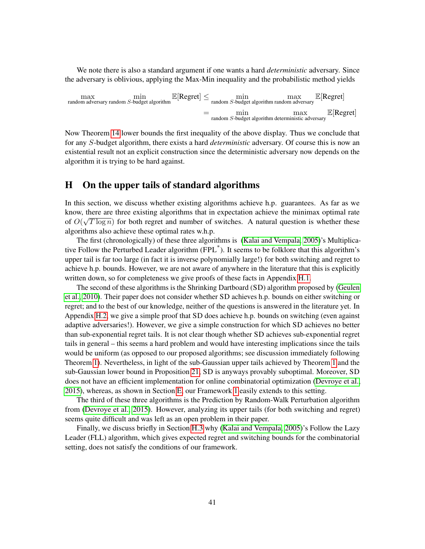We note there is also a standard argument if one wants a hard *deterministic* adversary. Since the adversary is oblivious, applying the Max-Min inequality and the probabilistic method yields

$$
\begin{aligned}\n\max_{\text{random adversary random } S\text{-budget algorithm}} \mathbb{E}[\text{Regret}] &\leq \min_{\text{random } S\text{-budget algorithm random adversary}} \max_{\text{max}} \mathbb{E}[\text{Regret}] \\
&= \min_{\text{random } S\text{-budget algorithm deterministic adversary}} \mathbb{E}[\text{Regret}]\n\end{aligned}
$$

Now Theorem [14](#page-18-1) lower bounds the first inequality of the above display. Thus we conclude that for any S-budget algorithm, there exists a hard *deterministic* adversary. Of course this is now an existential result not an explicit construction since the deterministic adversary now depends on the algorithm it is trying to be hard against.

# <span id="page-40-0"></span>H On the upper tails of standard algorithms

In this section, we discuss whether existing algorithms achieve h.p. guarantees. As far as we know, there are three existing algorithms that in expectation achieve the minimax optimal rate of  $O(\sqrt{T \log n})$  for both regret and number of switches. A natural question is whether these algorithms also achieve these optimal rates w.h.p.

The first (chronologically) of these three algorithms is [\(Kalai and Vempala, 2005\)](#page-23-1)'s Multiplicative Follow the Perturbed Leader algorithm (FPL\* ). It seems to be folklore that this algorithm's upper tail is far too large (in fact it is inverse polynomially large!) for both switching and regret to achieve h.p. bounds. However, we are not aware of anywhere in the literature that this is explicitly written down, so for completeness we give proofs of these facts in Appendix [H.1.](#page-41-0)

The second of these algorithms is the Shrinking Dartboard (SD) algorithm proposed by [\(Geulen](#page-23-11) [et al., 2010\)](#page-23-11). Their paper does not consider whether SD achieves h.p. bounds on either switching or regret; and to the best of our knowledge, neither of the questions is answered in the literature yet. In Appendix [H.2,](#page-42-0) we give a simple proof that SD does achieve h.p. bounds on switching (even against adaptive adversaries!). However, we give a simple construction for which SD achieves no better than sub-exponential regret tails. It is not clear though whether SD achieves sub-exponential regret tails in general – this seems a hard problem and would have interesting implications since the tails would be uniform (as opposed to our proposed algorithms; see discussion immediately following Theorem [1\)](#page-7-1). Nevertheless, in light of the sub-Gaussian upper tails achieved by Theorem [1](#page-7-1) and the sub-Gaussian lower bound in Proposition [21,](#page-31-3) SD is anyways provably suboptimal. Moreover, SD does not have an efficient implementation for online combinatorial optimization [\(Devroye et al.,](#page-23-0) [2015\)](#page-23-0), whereas, as shown in Section [E,](#page-28-0) our Framework [1](#page-8-1) easily extends to this setting.

The third of these three algorithms is the Prediction by Random-Walk Perturbation algorithm from [\(Devroye et al., 2015\)](#page-23-0). However, analyzing its upper tails (for both switching and regret) seems quite difficult and was left as an open problem in their paper.

Finally, we discuss briefly in Section [H.3](#page-43-0) why [\(Kalai and Vempala, 2005\)](#page-23-1)'s Follow the Lazy Leader (FLL) algorithm, which gives expected regret and switching bounds for the combinatorial setting, does not satisfy the conditions of our framework.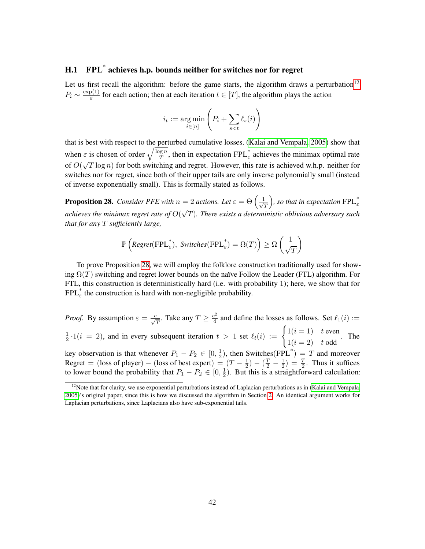# <span id="page-41-0"></span>H.1 FPL\* achieves h.p. bounds neither for switches nor for regret

Let us first recall the algorithm: before the game starts, the algorithm draws a perturbation<sup>[12](#page-41-1)</sup>  $P_i \sim \frac{\exp(1)}{\varepsilon}$  $\frac{\rho(1)}{\varepsilon}$  for each action; then at each iteration  $t \in [T]$ , the algorithm plays the action

$$
i_t := \underset{i \in [n]}{\arg \min} \left( P_i + \sum_{s < t} \ell_s(i) \right)
$$

that is best with respect to the perturbed cumulative losses. [\(Kalai and Vempala, 2005\)](#page-23-1) show that when  $\varepsilon$  is chosen of order  $\sqrt{\frac{\log n}{T}}$  $\frac{q \cdot n}{T}$ , then in expectation FPL<sup>\*</sup> achieves the minimax optimal rate of  $O($ √  $\overline{T \log n}$ ) for both switching and regret. However, this rate is achieved w.h.p. neither for switches nor for regret, since both of their upper tails are only inverse polynomially small (instead of inverse exponentially small). This is formally stated as follows.

<span id="page-41-2"></span>**Proposition 28.** *Consider PFE with*  $n = 2$  *actions. Let*  $\varepsilon = \Theta\left(\frac{1}{\sqrt{2}}\right)$ T  $= 2$  actions. Let  $\varepsilon = \Theta\left(\frac{1}{\sqrt{T}}\right)$ , so that in expectation  $\text{FPL}_{\varepsilon}^*$ achieves the minimax regret rate of  $O(\sqrt{T})$ . There exists a deterministic oblivious adversary such *that for any* T *sufficiently large,*

$$
\mathbb{P}\left(\textit{Regret}(\text{FPL}_{\varepsilon}^*), \textit{Switches}(\text{FPL}_{\varepsilon}^*) = \Omega(T)\right) \geq \Omega\left(\frac{1}{\sqrt{T}}\right)
$$

To prove Proposition [28,](#page-41-2) we will employ the folklore construction traditionally used for showing  $\Omega(T)$  switching and regret lower bounds on the naïve Follow the Leader (FTL) algorithm. For FTL, this construction is deterministically hard (i.e. with probability 1); here, we show that for  $FPL<sub>\varepsilon</sub><sup>*</sup>$  the construction is hard with non-negligible probability.

*Proof.* By assumption  $\varepsilon = \frac{c}{\sqrt{T}}$ . Take any  $T \geq \frac{c^2}{4}$ T  $\frac{e^2}{4}$  and define the losses as follows. Set  $\ell_1(i) :=$ 1  $\frac{1}{2} \cdot 1(i = 2)$ , and in every subsequent iteration  $t > 1$  set  $\ell_t(i) := \begin{cases} 1(i = 1) & t \text{ even} \\ 1(i = 2) & t \text{ odd} \end{cases}$  $1(i = 2)$  t odd . The key observation is that whenever  $P_1 - P_2 \in [0, \frac{1}{2})$ , then Switches(FPL<sup>\*</sup>) = T and moreover Regret = (loss of player) – (loss of best expert) =  $(T - \frac{1}{2})$  $(\frac{1}{2}) - (\frac{T}{2} - \frac{1}{2})$  $(\frac{1}{2}) = \frac{T}{2}$ . Thus it suffices to lower bound the probability that  $P_1 - P_2 \in [0, \frac{1}{2}]$  $\frac{1}{2}$ ). But this is a straightforward calculation:

<span id="page-41-1"></span> $12$ Note that for clarity, we use exponential perturbations instead of Laplacian perturbations as in [\(Kalai and Vempala,](#page-23-1) [2005\)](#page-23-1)'s original paper, since this is how we discussed the algorithm in Section [2.](#page-7-0) An identical argument works for Laplacian perturbations, since Laplacians also have sub-exponential tails.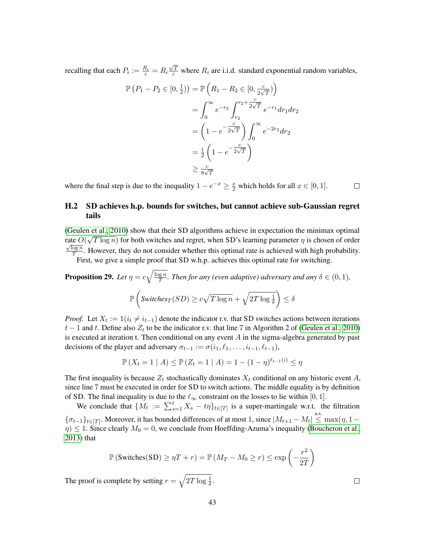recalling that each  $P_i := \frac{R_i}{\varepsilon} = R_i$  $\frac{\sqrt{T}}{c}$  where  $R_i$  are i.i.d. standard exponential random variables,

$$
\mathbb{P}\left(P_1 - P_2 \in [0, \frac{1}{2})\right) = \mathbb{P}\left(R_1 - R_2 \in [0, \frac{c}{2\sqrt{T}})\right)
$$

$$
= \int_0^\infty e^{-r_2} \int_{r_2}^{r_2 + \frac{c}{2\sqrt{T}}} e^{-r_1} dr_1 dr_2
$$

$$
= \left(1 - e^{-\frac{c}{2\sqrt{T}}}\right) \int_0^\infty e^{-2r_2} dr_2
$$

$$
= \frac{1}{2} \left(1 - e^{-\frac{c}{2\sqrt{T}}}\right)
$$

$$
\geq \frac{c}{8\sqrt{T}}
$$

where the final step is due to the inequality  $1 - e^{-x} \ge \frac{x}{2}$  which holds for all  $x \in [0, 1]$ .  $\Box$ 

### <span id="page-42-0"></span>H.2 SD achieves h.p. bounds for switches, but cannot achieve sub-Gaussian regret tails

[\(Geulen et al., 2010\)](#page-23-11) show that their SD algorithms achieve in expectation the minimax optimal rate  $O(\sqrt{T \log n})$  for both switches and regret, when SD's learning parameter  $\eta$  is chosen of order  $\overline{\log n}$  $\frac{\log n}{T}$ . However, they do not consider whether this optimal rate is achieved with high probability.

First, we give a simple proof that SD w.h.p. achieves this optimal rate for switching.

**Proposition 29.** Let 
$$
\eta = c\sqrt{\frac{\log n}{T}}
$$
. Then for any (even adaptive) adversary and any  $\delta \in (0, 1)$ ,  

$$
\mathbb{P}\left(\text{Switches}_{T}(SD) \ge c\sqrt{T \log n} + \sqrt{2T \log \frac{1}{\delta}}\right) \le \delta
$$

*Proof.* Let  $X_t := 1(i_t \neq i_{t-1})$  denote the indicator r.v. that SD switches actions between iterations  $t-1$  and t. Define also  $Z_t$  to be the indicator r.v. that line 7 in Algorithm 2 of [\(Geulen et al., 2010\)](#page-23-11) is executed at iteration t. Then conditional on any event  $A$  in the sigma-algebra generated by past decisions of the player and adversary  $\sigma_{t-1} := \sigma(i_1, \ell_1, \ldots, i_{t-1}, \ell_{t-1}),$ 

$$
\mathbb{P}(X_t = 1 | A) \le \mathbb{P}(Z_t = 1 | A) = 1 - (1 - \eta)^{\ell_{t-1}(i)} \le \eta
$$

The first inequality is because  $Z_t$  stochastically dominates  $X_t$  conditional on any historic event A, since line 7 must be executed in order for SD to switch actions. The middle equality is by definition of SD. The final inequality is due to the  $\ell_{\infty}$  constraint on the losses to lie within [0, 1].

We conclude that  $\{M_t := \sum_{s=1}^t X_s - t\eta\}_{t\in[T]}$  is a super-martingale w.r.t. the filtration  ${\{\sigma_{t-1}\}}_{t\in[T]}$ . Moreover, it has bounded differences of at most 1, since  $|M_{t+1}-M_t| \stackrel{\text{a.s.}}{\leq} \max(\eta, 1-\eta)$  $\eta$ )  $\leq$  1. Since clearly  $M_0 = 0$ , we conclude from Hoeffding-Azuma's inequality [\(Boucheron et al.,](#page-22-13) [2013\)](#page-22-13) that

$$
\mathbb{P}\left(\text{Switches}(\text{SD}) \ge \eta T + r\right) = \mathbb{P}\left(M_T - M_0 \ge r\right) \le \exp\left(-\frac{r^2}{2T}\right)
$$

The proof is complete by setting  $r = \sqrt{2T \log \frac{1}{\delta}}$ .

 $\Box$